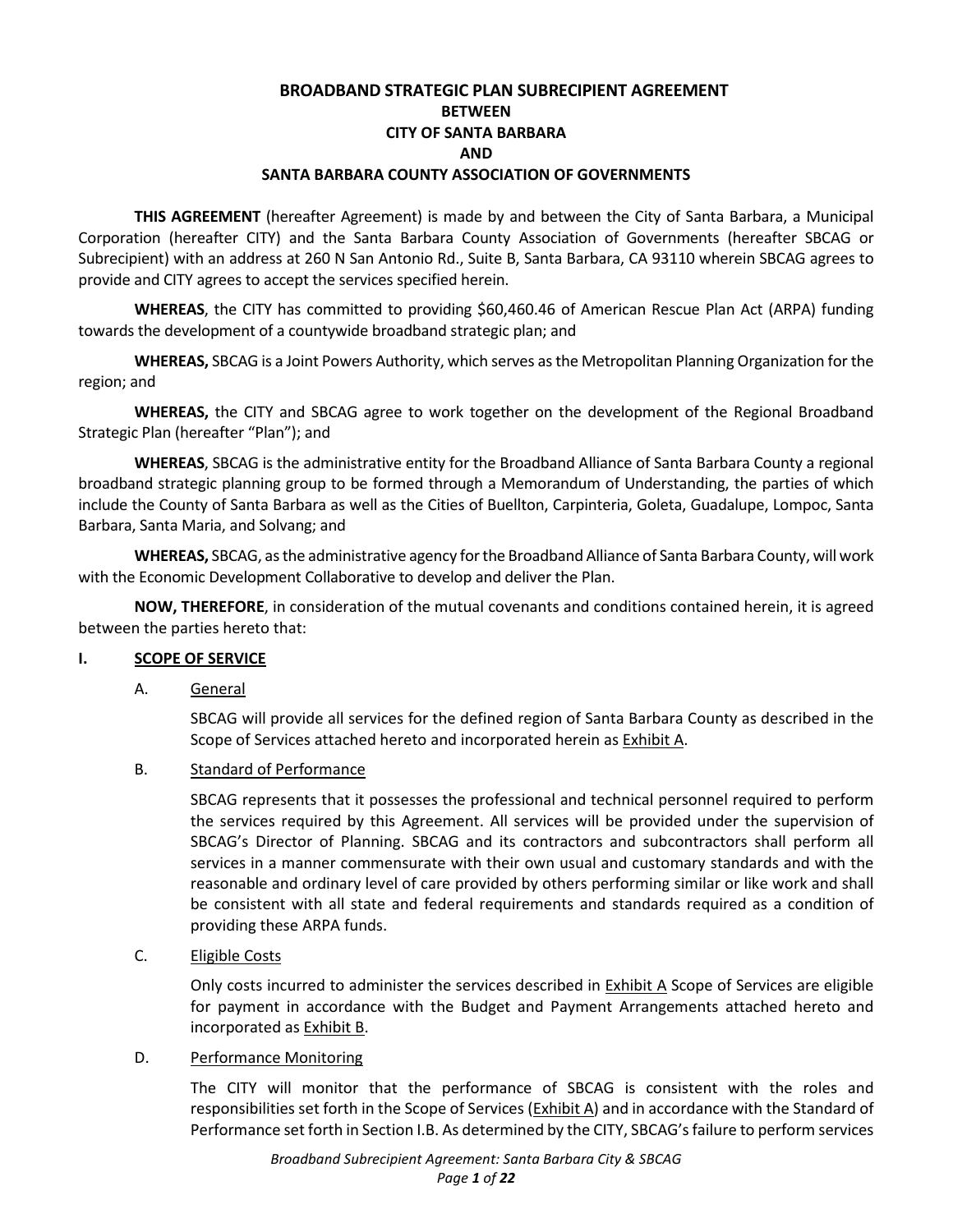# **BROADBAND STRATEGIC PLAN SUBRECIPIENT AGREEMENT BETWEEN CITY OF SANTA BARBARA AND SANTA BARBARA COUNTY ASSOCIATION OF GOVERNMENTS**

**THIS AGREEMENT** (hereafter Agreement) is made by and between the City of Santa Barbara, a Municipal Corporation (hereafter CITY) and the Santa Barbara County Association of Governments (hereafter SBCAG or Subrecipient) with an address at 260 N San Antonio Rd., Suite B, Santa Barbara, CA 93110 wherein SBCAG agrees to provide and CITY agrees to accept the services specified herein.

**WHEREAS**, the CITY has committed to providing \$60,460.46 of American Rescue Plan Act (ARPA) funding towards the development of a countywide broadband strategic plan; and

**WHEREAS,** SBCAG is a Joint Powers Authority, which serves as the Metropolitan Planning Organization for the region; and

**WHEREAS,** the CITY and SBCAG agree to work together on the development of the Regional Broadband Strategic Plan (hereafter "Plan"); and

**WHEREAS**, SBCAG is the administrative entity for the Broadband Alliance of Santa Barbara County a regional broadband strategic planning group to be formed through a Memorandum of Understanding, the parties of which include the County of Santa Barbara as well as the Cities of Buellton, Carpinteria, Goleta, Guadalupe, Lompoc, Santa Barbara, Santa Maria, and Solvang; and

**WHEREAS,** SBCAG, as the administrative agency for the Broadband Alliance of Santa Barbara County, will work with the Economic Development Collaborative to develop and deliver the Plan.

**NOW, THEREFORE**, in consideration of the mutual covenants and conditions contained herein, it is agreed between the parties hereto that:

## **I. SCOPE OF SERVICE**

## A. General

SBCAG will provide all services for the defined region of Santa Barbara County as described in the Scope of Services attached hereto and incorporated herein as Exhibit A.

B. Standard of Performance

SBCAG represents that it possesses the professional and technical personnel required to perform the services required by this Agreement. All services will be provided under the supervision of SBCAG's Director of Planning. SBCAG and its contractors and subcontractors shall perform all services in a manner commensurate with their own usual and customary standards and with the reasonable and ordinary level of care provided by others performing similar or like work and shall be consistent with all state and federal requirements and standards required as a condition of providing these ARPA funds.

C. Eligible Costs

Only costs incurred to administer the services described in Exhibit A Scope of Services are eligible for payment in accordance with the Budget and Payment Arrangements attached hereto and incorporated as Exhibit B.

## D. Performance Monitoring

The CITY will monitor that the performance of SBCAG is consistent with the roles and responsibilities set forth in the Scope of Services (Exhibit A) and in accordance with the Standard of Performance set forth in Section I.B. As determined by the CITY, SBCAG's failure to perform services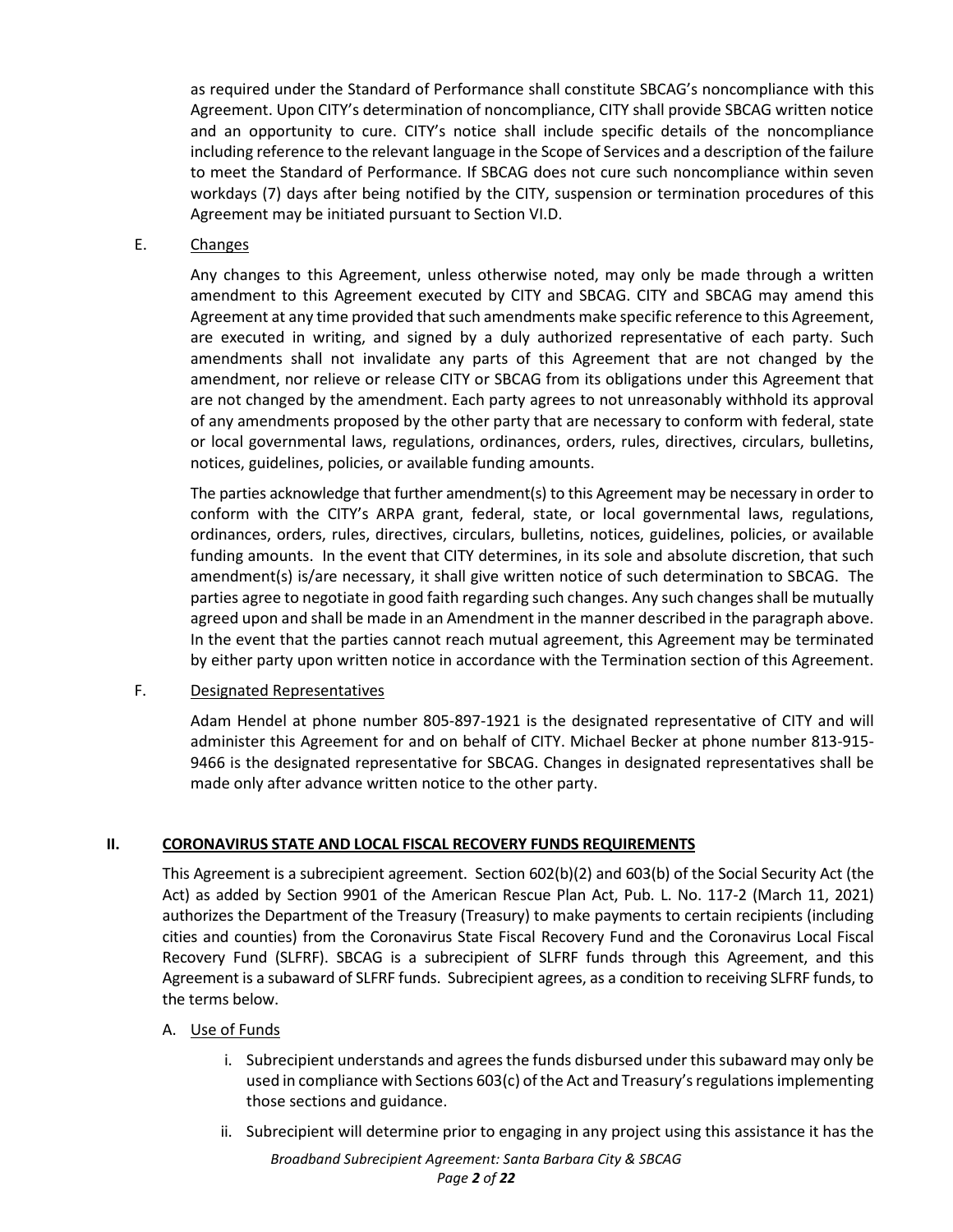as required under the Standard of Performance shall constitute SBCAG's noncompliance with this Agreement. Upon CITY's determination of noncompliance, CITY shall provide SBCAG written notice and an opportunity to cure. CITY's notice shall include specific details of the noncompliance including reference to the relevant language in the Scope of Services and a description of the failure to meet the Standard of Performance. If SBCAG does not cure such noncompliance within seven workdays (7) days after being notified by the CITY, suspension or termination procedures of this Agreement may be initiated pursuant to Section VI.D.

#### E. Changes

Any changes to this Agreement, unless otherwise noted, may only be made through a written amendment to this Agreement executed by CITY and SBCAG. CITY and SBCAG may amend this Agreement at any time provided that such amendments make specific reference to this Agreement, are executed in writing, and signed by a duly authorized representative of each party. Such amendments shall not invalidate any parts of this Agreement that are not changed by the amendment, nor relieve or release CITY or SBCAG from its obligations under this Agreement that are not changed by the amendment. Each party agrees to not unreasonably withhold its approval of any amendments proposed by the other party that are necessary to conform with federal, state or local governmental laws, regulations, ordinances, orders, rules, directives, circulars, bulletins, notices, guidelines, policies, or available funding amounts.

The parties acknowledge that further amendment(s) to this Agreement may be necessary in order to conform with the CITY's ARPA grant, federal, state, or local governmental laws, regulations, ordinances, orders, rules, directives, circulars, bulletins, notices, guidelines, policies, or available funding amounts. In the event that CITY determines, in its sole and absolute discretion, that such amendment(s) is/are necessary, it shall give written notice of such determination to SBCAG. The parties agree to negotiate in good faith regarding such changes. Any such changes shall be mutually agreed upon and shall be made in an Amendment in the manner described in the paragraph above. In the event that the parties cannot reach mutual agreement, this Agreement may be terminated by either party upon written notice in accordance with the Termination section of this Agreement.

## F. Designated Representatives

Adam Hendel at phone number 805-897-1921 is the designated representative of CITY and will administer this Agreement for and on behalf of CITY. Michael Becker at phone number 813-915- 9466 is the designated representative for SBCAG. Changes in designated representatives shall be made only after advance written notice to the other party.

## **II. CORONAVIRUS STATE AND LOCAL FISCAL RECOVERY FUNDS REQUIREMENTS**

This Agreement is a subrecipient agreement. Section 602(b)(2) and 603(b) of the Social Security Act (the Act) as added by Section 9901 of the American Rescue Plan Act, Pub. L. No. 117-2 (March 11, 2021) authorizes the Department of the Treasury (Treasury) to make payments to certain recipients (including cities and counties) from the Coronavirus State Fiscal Recovery Fund and the Coronavirus Local Fiscal Recovery Fund (SLFRF). SBCAG is a subrecipient of SLFRF funds through this Agreement, and this Agreement is a subaward of SLFRF funds. Subrecipient agrees, as a condition to receiving SLFRF funds, to the terms below.

#### A. Use of Funds

- i. Subrecipient understands and agrees the funds disbursed under this subaward may only be used in compliance with Sections 603(c) of the Act and Treasury's regulations implementing those sections and guidance.
- ii. Subrecipient will determine prior to engaging in any project using this assistance it has the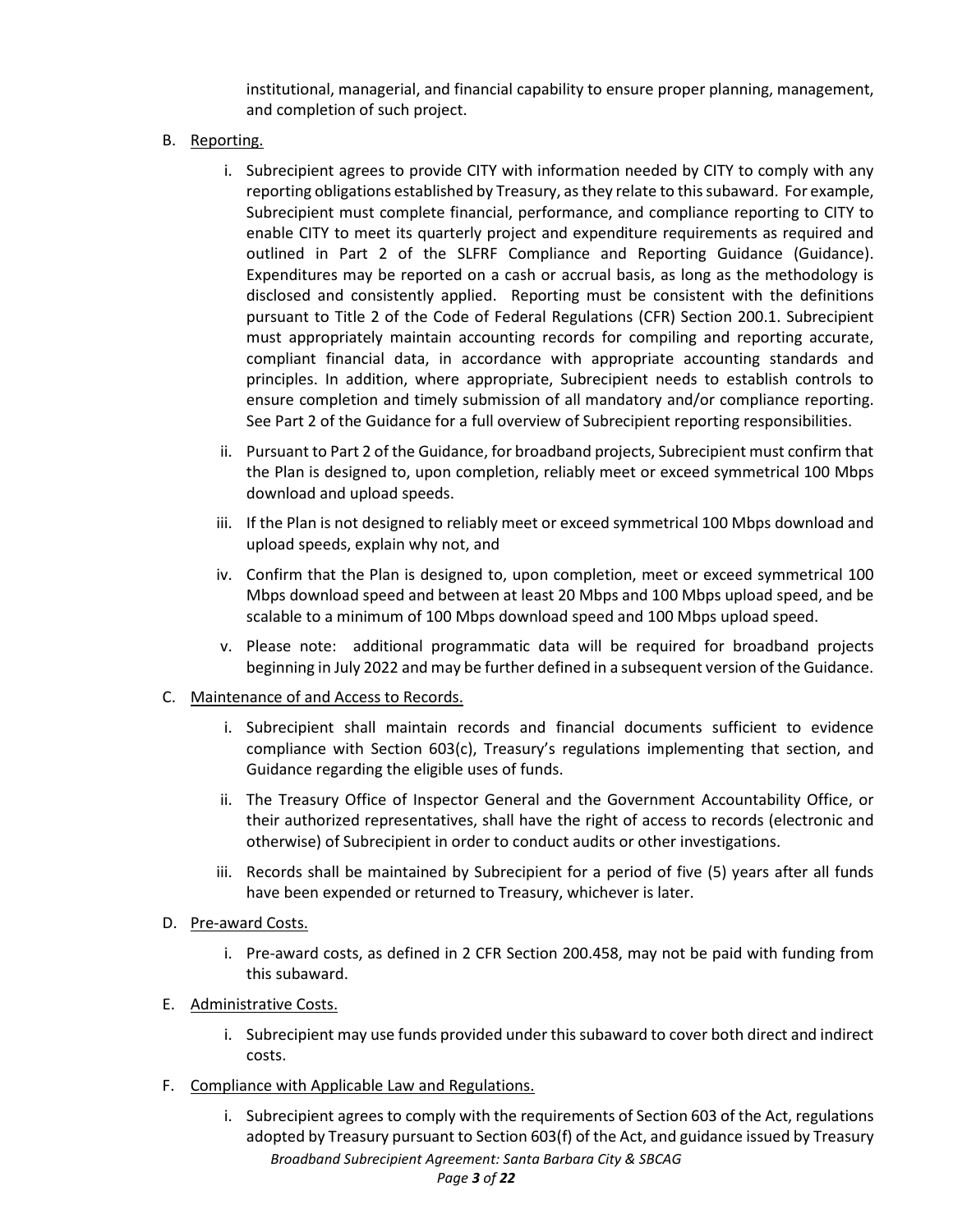institutional, managerial, and financial capability to ensure proper planning, management, and completion of such project.

- B. Reporting.
	- i. Subrecipient agrees to provide CITY with information needed by CITY to comply with any reporting obligations established by Treasury, as they relate to this subaward. For example, Subrecipient must complete financial, performance, and compliance reporting to CITY to enable CITY to meet its quarterly project and expenditure requirements as required and outlined in Part 2 of the SLFRF Compliance and Reporting Guidance (Guidance). Expenditures may be reported on a cash or accrual basis, as long as the methodology is disclosed and consistently applied. Reporting must be consistent with the definitions pursuant to Title 2 of the Code of Federal Regulations (CFR) Section 200.1. Subrecipient must appropriately maintain accounting records for compiling and reporting accurate, compliant financial data, in accordance with appropriate accounting standards and principles. In addition, where appropriate, Subrecipient needs to establish controls to ensure completion and timely submission of all mandatory and/or compliance reporting. See Part 2 of the Guidance for a full overview of Subrecipient reporting responsibilities.
	- ii. Pursuant to Part 2 of the Guidance, for broadband projects, Subrecipient must confirm that the Plan is designed to, upon completion, reliably meet or exceed symmetrical 100 Mbps download and upload speeds.
	- iii. If the Plan is not designed to reliably meet or exceed symmetrical 100 Mbps download and upload speeds, explain why not, and
	- iv. Confirm that the Plan is designed to, upon completion, meet or exceed symmetrical 100 Mbps download speed and between at least 20 Mbps and 100 Mbps upload speed, and be scalable to a minimum of 100 Mbps download speed and 100 Mbps upload speed.
	- v. Please note: additional programmatic data will be required for broadband projects beginning in July 2022 and may be further defined in a subsequent version of the Guidance.
- C. Maintenance of and Access to Records.
	- i. Subrecipient shall maintain records and financial documents sufficient to evidence compliance with Section 603(c), Treasury's regulations implementing that section, and Guidance regarding the eligible uses of funds.
	- ii. The Treasury Office of Inspector General and the Government Accountability Office, or their authorized representatives, shall have the right of access to records (electronic and otherwise) of Subrecipient in order to conduct audits or other investigations.
	- iii. Records shall be maintained by Subrecipient for a period of five (5) years after all funds have been expended or returned to Treasury, whichever is later.
- D. Pre-award Costs.
	- i. Pre-award costs, as defined in 2 CFR Section 200.458, may not be paid with funding from this subaward.
- E. Administrative Costs.
	- i. Subrecipient may use funds provided under this subaward to cover both direct and indirect costs.
- F. Compliance with Applicable Law and Regulations.
	- *Broadband Subrecipient Agreement: Santa Barbara City & SBCAG Page 3 of 22* i. Subrecipient agrees to comply with the requirements of Section 603 of the Act, regulations adopted by Treasury pursuant to Section 603(f) of the Act, and guidance issued by Treasury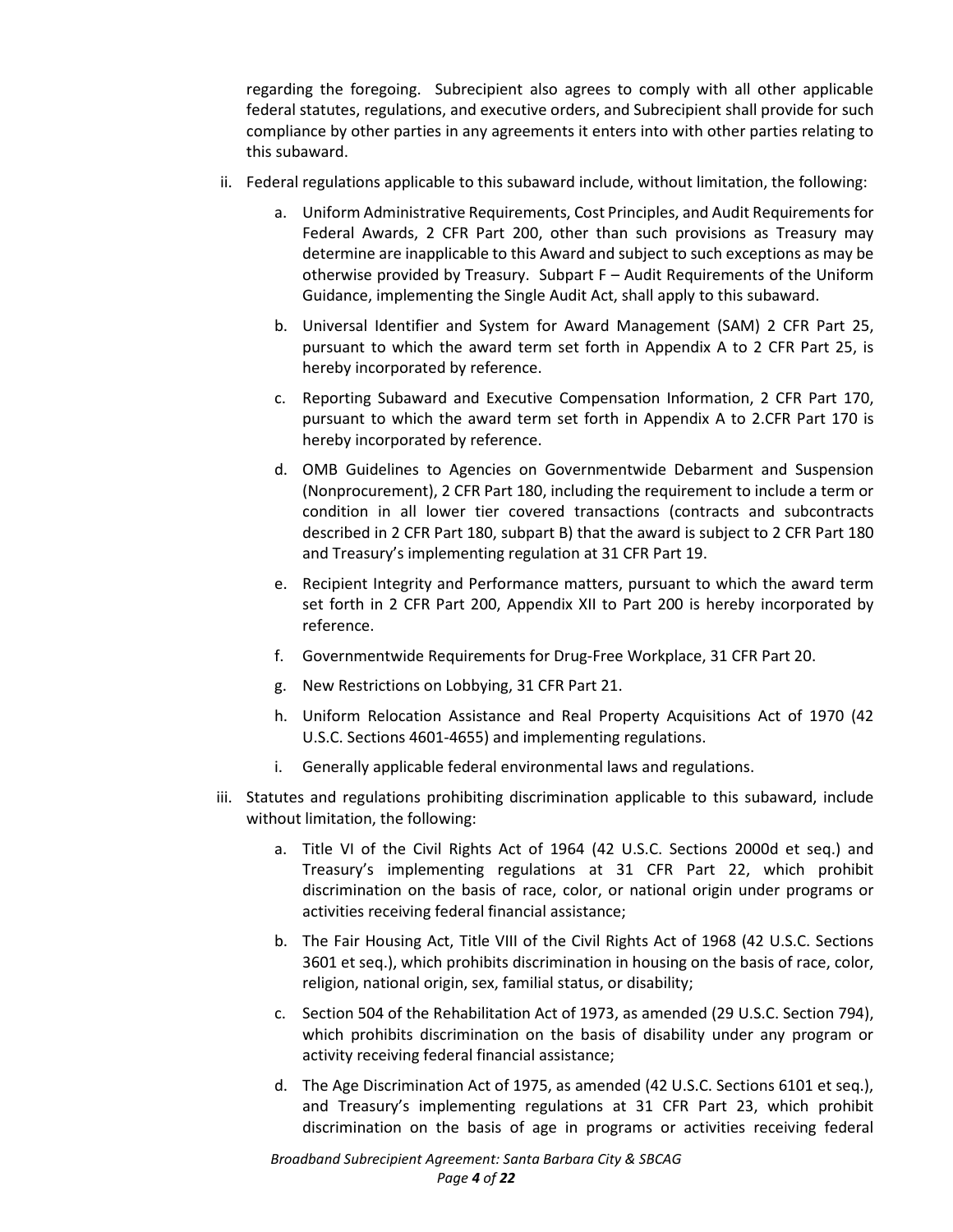regarding the foregoing. Subrecipient also agrees to comply with all other applicable federal statutes, regulations, and executive orders, and Subrecipient shall provide for such compliance by other parties in any agreements it enters into with other parties relating to this subaward.

- ii. Federal regulations applicable to this subaward include, without limitation, the following:
	- a. Uniform Administrative Requirements, Cost Principles, and Audit Requirements for Federal Awards, 2 CFR Part 200, other than such provisions as Treasury may determine are inapplicable to this Award and subject to such exceptions as may be otherwise provided by Treasury. Subpart F – Audit Requirements of the Uniform Guidance, implementing the Single Audit Act, shall apply to this subaward.
	- b. Universal Identifier and System for Award Management (SAM) 2 CFR Part 25, pursuant to which the award term set forth in Appendix A to 2 CFR Part 25, is hereby incorporated by reference.
	- c. Reporting Subaward and Executive Compensation Information, 2 CFR Part 170, pursuant to which the award term set forth in Appendix A to 2.CFR Part 170 is hereby incorporated by reference.
	- d. OMB Guidelines to Agencies on Governmentwide Debarment and Suspension (Nonprocurement), 2 CFR Part 180, including the requirement to include a term or condition in all lower tier covered transactions (contracts and subcontracts described in 2 CFR Part 180, subpart B) that the award is subject to 2 CFR Part 180 and Treasury's implementing regulation at 31 CFR Part 19.
	- e. Recipient Integrity and Performance matters, pursuant to which the award term set forth in 2 CFR Part 200, Appendix XII to Part 200 is hereby incorporated by reference.
	- f. Governmentwide Requirements for Drug-Free Workplace, 31 CFR Part 20.
	- g. New Restrictions on Lobbying, 31 CFR Part 21.
	- h. Uniform Relocation Assistance and Real Property Acquisitions Act of 1970 (42 U.S.C. Sections 4601-4655) and implementing regulations.
	- i. Generally applicable federal environmental laws and regulations.
- iii. Statutes and regulations prohibiting discrimination applicable to this subaward, include without limitation, the following:
	- a. Title VI of the Civil Rights Act of 1964 (42 U.S.C. Sections 2000d et seq.) and Treasury's implementing regulations at 31 CFR Part 22, which prohibit discrimination on the basis of race, color, or national origin under programs or activities receiving federal financial assistance;
	- b. The Fair Housing Act, Title VIII of the Civil Rights Act of 1968 (42 U.S.C. Sections 3601 et seq.), which prohibits discrimination in housing on the basis of race, color, religion, national origin, sex, familial status, or disability;
	- c. Section 504 of the Rehabilitation Act of 1973, as amended (29 U.S.C. Section 794), which prohibits discrimination on the basis of disability under any program or activity receiving federal financial assistance;
	- d. The Age Discrimination Act of 1975, as amended (42 U.S.C. Sections 6101 et seq.), and Treasury's implementing regulations at 31 CFR Part 23, which prohibit discrimination on the basis of age in programs or activities receiving federal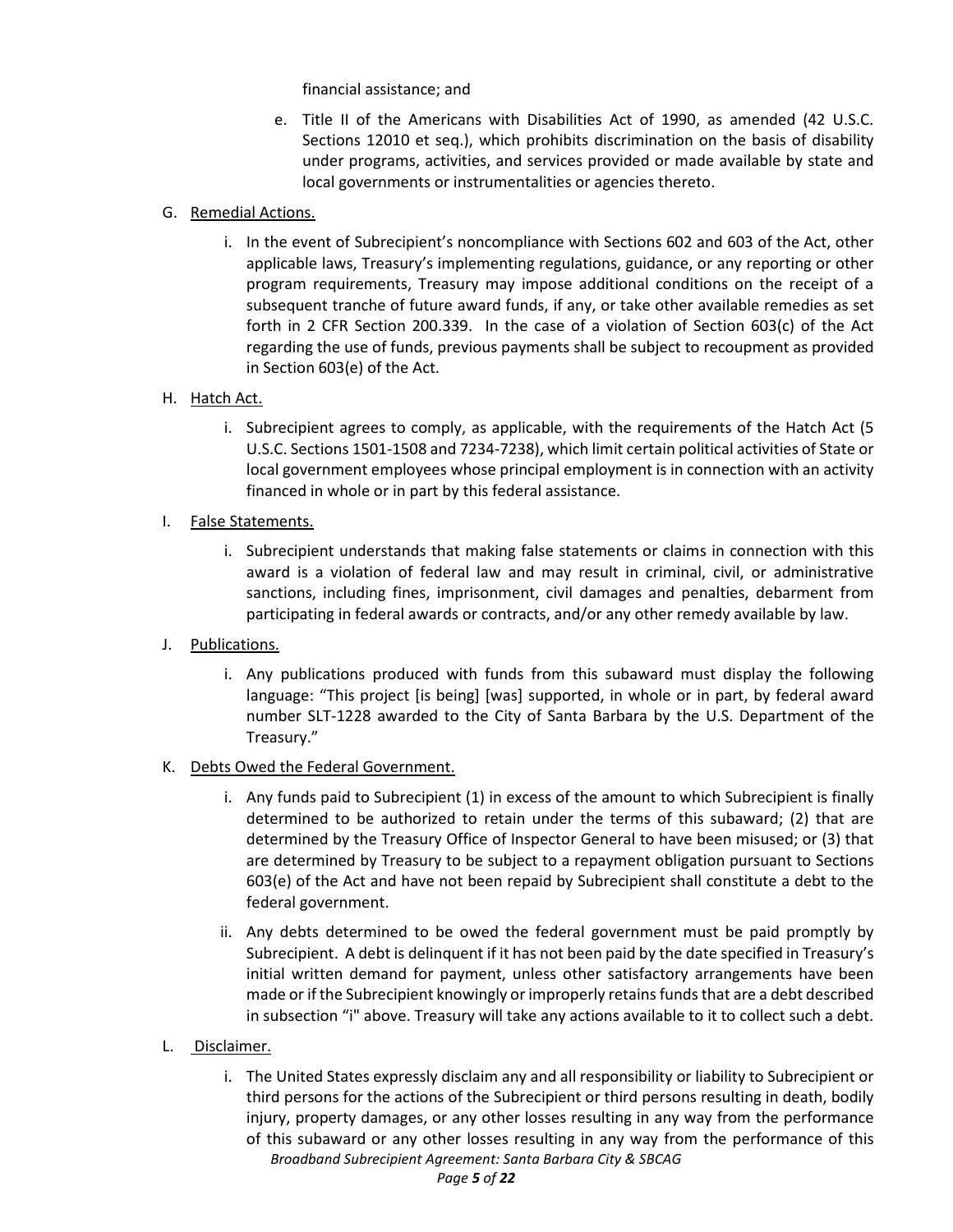financial assistance; and

e. Title II of the Americans with Disabilities Act of 1990, as amended (42 U.S.C. Sections 12010 et seq.), which prohibits discrimination on the basis of disability under programs, activities, and services provided or made available by state and local governments or instrumentalities or agencies thereto.

# G. Remedial Actions.

i. In the event of Subrecipient's noncompliance with Sections 602 and 603 of the Act, other applicable laws, Treasury's implementing regulations, guidance, or any reporting or other program requirements, Treasury may impose additional conditions on the receipt of a subsequent tranche of future award funds, if any, or take other available remedies as set forth in 2 CFR Section 200.339. In the case of a violation of Section 603(c) of the Act regarding the use of funds, previous payments shall be subject to recoupment as provided in Section 603(e) of the Act.

# H. Hatch Act.

- i. Subrecipient agrees to comply, as applicable, with the requirements of the Hatch Act (5 U.S.C. Sections 1501-1508 and 7234-7238), which limit certain political activities of State or local government employees whose principal employment is in connection with an activity financed in whole or in part by this federal assistance.
- I. False Statements.
	- i. Subrecipient understands that making false statements or claims in connection with this award is a violation of federal law and may result in criminal, civil, or administrative sanctions, including fines, imprisonment, civil damages and penalties, debarment from participating in federal awards or contracts, and/or any other remedy available by law.
- J. Publications.
	- i. Any publications produced with funds from this subaward must display the following language: "This project [is being] [was] supported, in whole or in part, by federal award number SLT-1228 awarded to the City of Santa Barbara by the U.S. Department of the Treasury."

## K. Debts Owed the Federal Government.

- i. Any funds paid to Subrecipient (1) in excess of the amount to which Subrecipient is finally determined to be authorized to retain under the terms of this subaward; (2) that are determined by the Treasury Office of Inspector General to have been misused; or (3) that are determined by Treasury to be subject to a repayment obligation pursuant to Sections 603(e) of the Act and have not been repaid by Subrecipient shall constitute a debt to the federal government.
- ii. Any debts determined to be owed the federal government must be paid promptly by Subrecipient. A debt is delinquent if it has not been paid by the date specified in Treasury's initial written demand for payment, unless other satisfactory arrangements have been made or if the Subrecipient knowingly or improperly retains funds that are a debt described in subsection "i" above. Treasury will take any actions available to it to collect such a debt.
- L. Disclaimer.
	- i. The United States expressly disclaim any and all responsibility or liability to Subrecipient or third persons for the actions of the Subrecipient or third persons resulting in death, bodily injury, property damages, or any other losses resulting in any way from the performance of this subaward or any other losses resulting in any way from the performance of this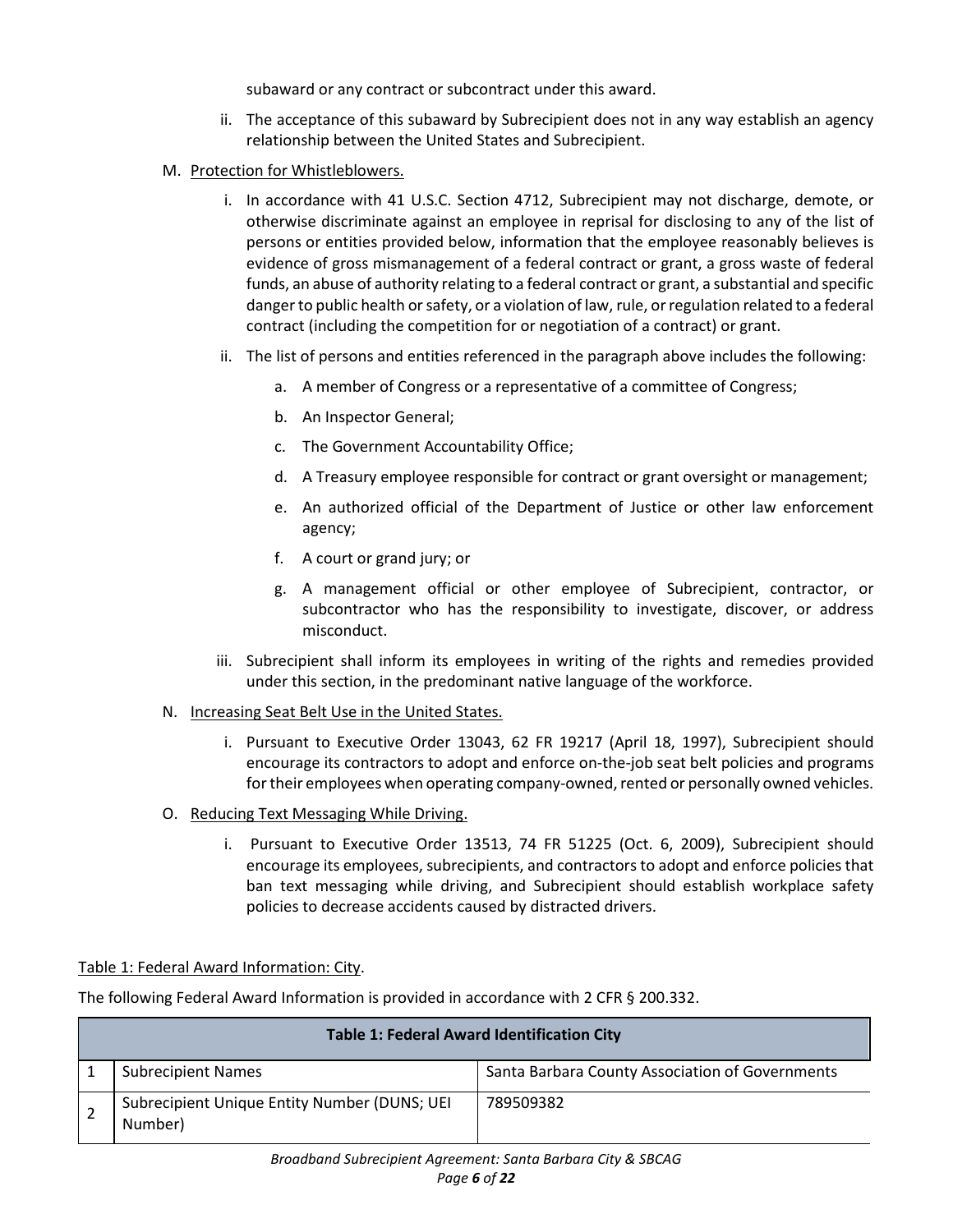subaward or any contract or subcontract under this award.

- ii. The acceptance of this subaward by Subrecipient does not in any way establish an agency relationship between the United States and Subrecipient.
- M. Protection for Whistleblowers.
	- i. In accordance with 41 U.S.C. Section 4712, Subrecipient may not discharge, demote, or otherwise discriminate against an employee in reprisal for disclosing to any of the list of persons or entities provided below, information that the employee reasonably believes is evidence of gross mismanagement of a federal contract or grant, a gross waste of federal funds, an abuse of authority relating to a federal contract or grant, a substantial and specific danger to public health or safety, or a violation of law, rule, or regulation related to a federal contract (including the competition for or negotiation of a contract) or grant.
	- ii. The list of persons and entities referenced in the paragraph above includes the following:
		- a. A member of Congress or a representative of a committee of Congress;
		- b. An Inspector General;
		- c. The Government Accountability Office;
		- d. A Treasury employee responsible for contract or grant oversight or management;
		- e. An authorized official of the Department of Justice or other law enforcement agency;
		- f. A court or grand jury; or
		- g. A management official or other employee of Subrecipient, contractor, or subcontractor who has the responsibility to investigate, discover, or address misconduct.
	- iii. Subrecipient shall inform its employees in writing of the rights and remedies provided under this section, in the predominant native language of the workforce.
- N. Increasing Seat Belt Use in the United States.
	- i. Pursuant to Executive Order 13043, 62 FR 19217 (April 18, 1997), Subrecipient should encourage its contractors to adopt and enforce on-the-job seat belt policies and programs for their employees when operating company-owned, rented or personally owned vehicles.
- O. Reducing Text Messaging While Driving.
	- i. Pursuant to Executive Order 13513, 74 FR 51225 (Oct. 6, 2009), Subrecipient should encourage its employees, subrecipients, and contractors to adopt and enforce policies that ban text messaging while driving, and Subrecipient should establish workplace safety policies to decrease accidents caused by distracted drivers.

# Table 1: Federal Award Information: City.

The following Federal Award Information is provided in accordance with 2 CFR § 200.332.

| <b>Table 1: Federal Award Identification City</b> |                                                         |                                                 |  |  |
|---------------------------------------------------|---------------------------------------------------------|-------------------------------------------------|--|--|
|                                                   | <b>Subrecipient Names</b>                               | Santa Barbara County Association of Governments |  |  |
|                                                   | Subrecipient Unique Entity Number (DUNS; UEI<br>Number) | 789509382                                       |  |  |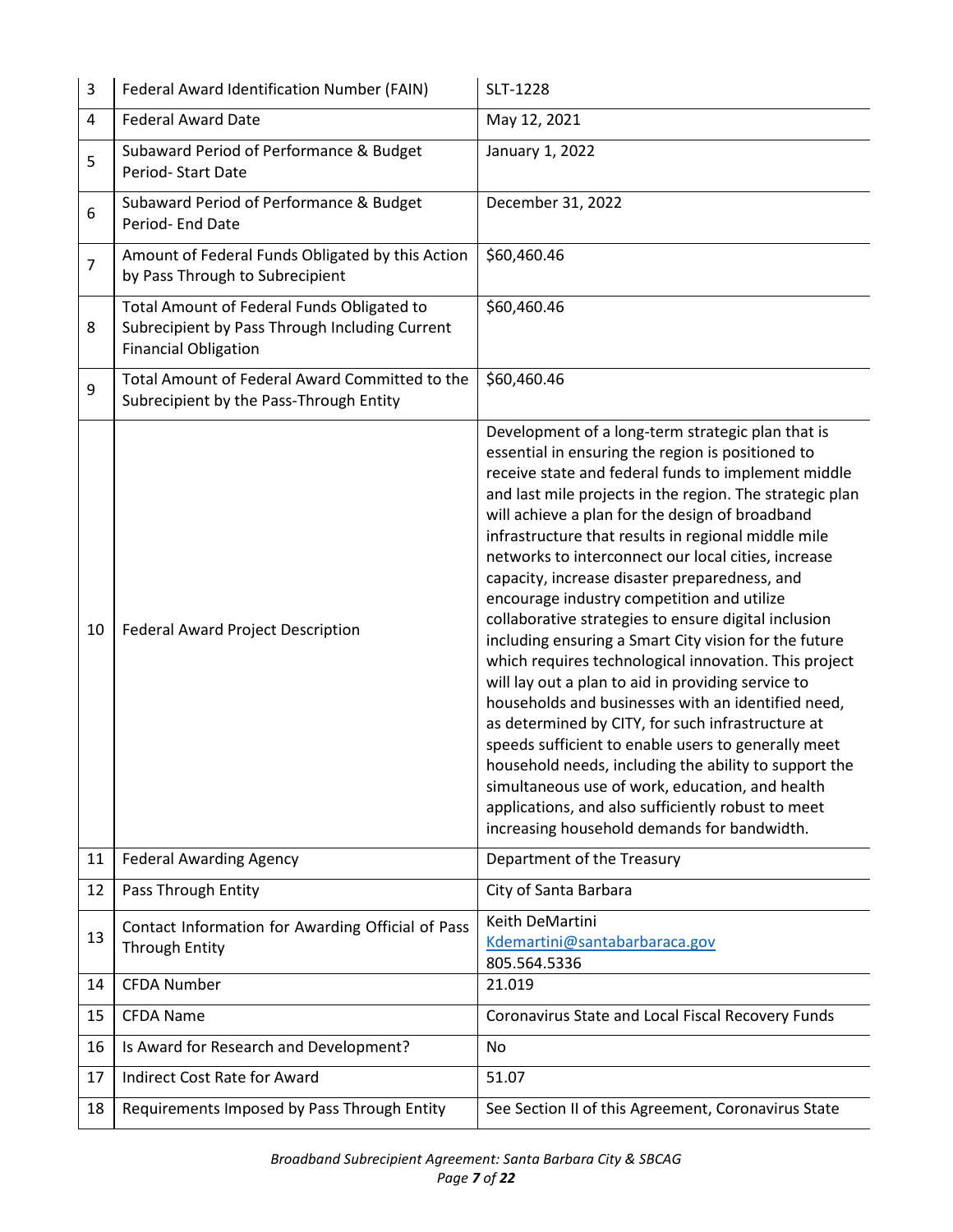| 3              | Federal Award Identification Number (FAIN)                                                                                  | SLT-1228                                                                                                                                                                                                                                                                                                                                                                                                                                                                                                                                                                                                                                                                                                                                                                                                                                                                                                                                                                                                                                                                                                     |  |  |
|----------------|-----------------------------------------------------------------------------------------------------------------------------|--------------------------------------------------------------------------------------------------------------------------------------------------------------------------------------------------------------------------------------------------------------------------------------------------------------------------------------------------------------------------------------------------------------------------------------------------------------------------------------------------------------------------------------------------------------------------------------------------------------------------------------------------------------------------------------------------------------------------------------------------------------------------------------------------------------------------------------------------------------------------------------------------------------------------------------------------------------------------------------------------------------------------------------------------------------------------------------------------------------|--|--|
| 4              | <b>Federal Award Date</b>                                                                                                   | May 12, 2021                                                                                                                                                                                                                                                                                                                                                                                                                                                                                                                                                                                                                                                                                                                                                                                                                                                                                                                                                                                                                                                                                                 |  |  |
| 5              | Subaward Period of Performance & Budget<br>Period-Start Date                                                                | January 1, 2022                                                                                                                                                                                                                                                                                                                                                                                                                                                                                                                                                                                                                                                                                                                                                                                                                                                                                                                                                                                                                                                                                              |  |  |
| 6              | Subaward Period of Performance & Budget<br>Period- End Date                                                                 | December 31, 2022                                                                                                                                                                                                                                                                                                                                                                                                                                                                                                                                                                                                                                                                                                                                                                                                                                                                                                                                                                                                                                                                                            |  |  |
| $\overline{7}$ | Amount of Federal Funds Obligated by this Action<br>by Pass Through to Subrecipient                                         | \$60,460.46                                                                                                                                                                                                                                                                                                                                                                                                                                                                                                                                                                                                                                                                                                                                                                                                                                                                                                                                                                                                                                                                                                  |  |  |
| 8              | Total Amount of Federal Funds Obligated to<br>Subrecipient by Pass Through Including Current<br><b>Financial Obligation</b> | \$60,460.46                                                                                                                                                                                                                                                                                                                                                                                                                                                                                                                                                                                                                                                                                                                                                                                                                                                                                                                                                                                                                                                                                                  |  |  |
| 9              | Total Amount of Federal Award Committed to the<br>Subrecipient by the Pass-Through Entity                                   | \$60,460.46                                                                                                                                                                                                                                                                                                                                                                                                                                                                                                                                                                                                                                                                                                                                                                                                                                                                                                                                                                                                                                                                                                  |  |  |
| 10             | Federal Award Project Description                                                                                           | Development of a long-term strategic plan that is<br>essential in ensuring the region is positioned to<br>receive state and federal funds to implement middle<br>and last mile projects in the region. The strategic plan<br>will achieve a plan for the design of broadband<br>infrastructure that results in regional middle mile<br>networks to interconnect our local cities, increase<br>capacity, increase disaster preparedness, and<br>encourage industry competition and utilize<br>collaborative strategies to ensure digital inclusion<br>including ensuring a Smart City vision for the future<br>which requires technological innovation. This project<br>will lay out a plan to aid in providing service to<br>households and businesses with an identified need,<br>as determined by CITY, for such infrastructure at<br>speeds sufficient to enable users to generally meet<br>household needs, including the ability to support the<br>simultaneous use of work, education, and health<br>applications, and also sufficiently robust to meet<br>increasing household demands for bandwidth. |  |  |
| 11             | <b>Federal Awarding Agency</b>                                                                                              | Department of the Treasury                                                                                                                                                                                                                                                                                                                                                                                                                                                                                                                                                                                                                                                                                                                                                                                                                                                                                                                                                                                                                                                                                   |  |  |
| 12             | Pass Through Entity                                                                                                         | City of Santa Barbara                                                                                                                                                                                                                                                                                                                                                                                                                                                                                                                                                                                                                                                                                                                                                                                                                                                                                                                                                                                                                                                                                        |  |  |
| 13             | Contact Information for Awarding Official of Pass<br><b>Through Entity</b>                                                  | Keith DeMartini<br>Kdemartini@santabarbaraca.gov<br>805.564.5336                                                                                                                                                                                                                                                                                                                                                                                                                                                                                                                                                                                                                                                                                                                                                                                                                                                                                                                                                                                                                                             |  |  |
| 14             | <b>CFDA Number</b>                                                                                                          | 21.019                                                                                                                                                                                                                                                                                                                                                                                                                                                                                                                                                                                                                                                                                                                                                                                                                                                                                                                                                                                                                                                                                                       |  |  |
| 15             | <b>CFDA Name</b>                                                                                                            | Coronavirus State and Local Fiscal Recovery Funds                                                                                                                                                                                                                                                                                                                                                                                                                                                                                                                                                                                                                                                                                                                                                                                                                                                                                                                                                                                                                                                            |  |  |
| 16             | Is Award for Research and Development?                                                                                      | No                                                                                                                                                                                                                                                                                                                                                                                                                                                                                                                                                                                                                                                                                                                                                                                                                                                                                                                                                                                                                                                                                                           |  |  |
| 17             | <b>Indirect Cost Rate for Award</b>                                                                                         | 51.07                                                                                                                                                                                                                                                                                                                                                                                                                                                                                                                                                                                                                                                                                                                                                                                                                                                                                                                                                                                                                                                                                                        |  |  |
| 18             | Requirements Imposed by Pass Through Entity                                                                                 | See Section II of this Agreement, Coronavirus State                                                                                                                                                                                                                                                                                                                                                                                                                                                                                                                                                                                                                                                                                                                                                                                                                                                                                                                                                                                                                                                          |  |  |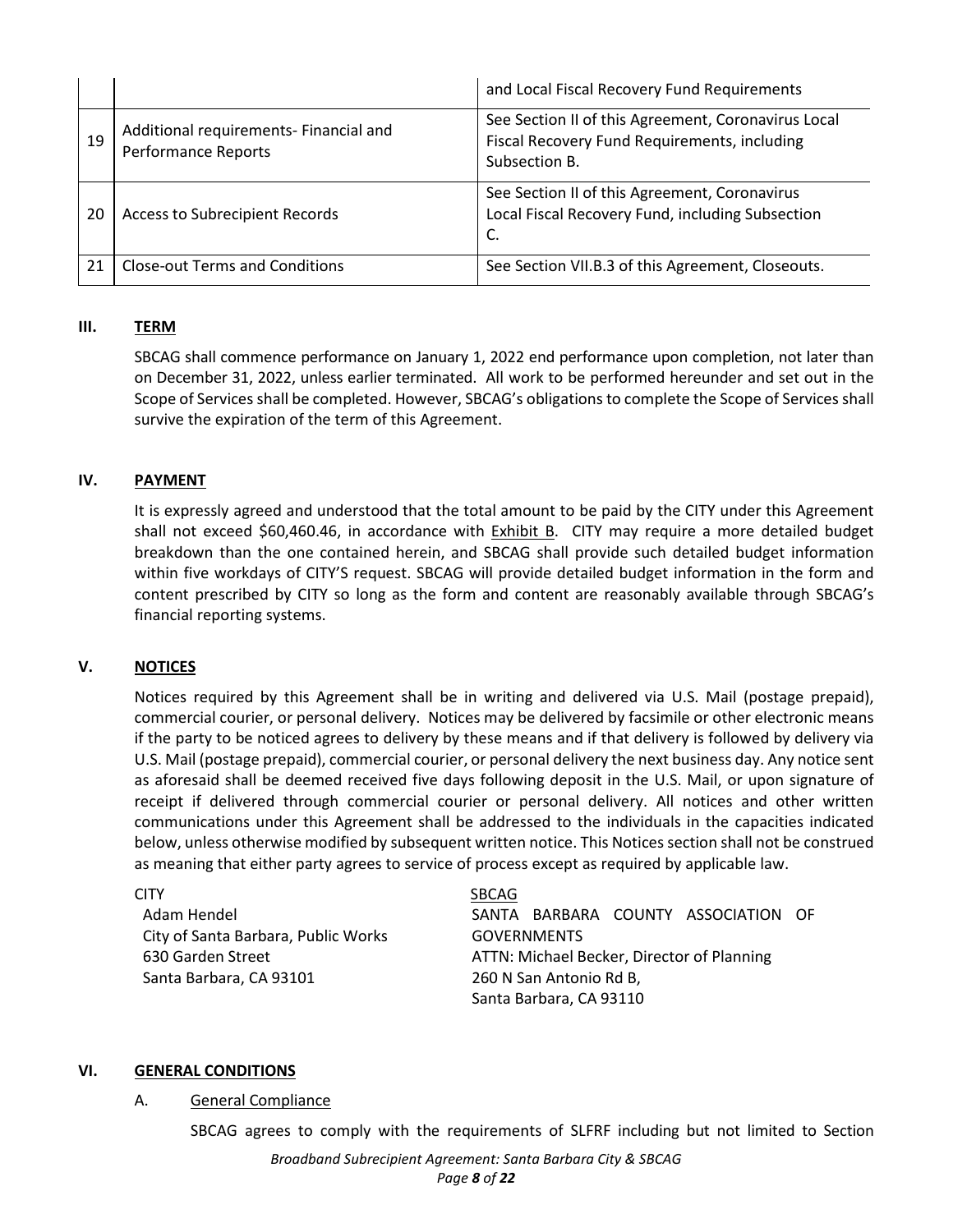|    |                                                                      | and Local Fiscal Recovery Fund Requirements                                                                          |
|----|----------------------------------------------------------------------|----------------------------------------------------------------------------------------------------------------------|
| 19 | Additional requirements- Financial and<br><b>Performance Reports</b> | See Section II of this Agreement, Coronavirus Local<br>Fiscal Recovery Fund Requirements, including<br>Subsection B. |
| 20 | Access to Subrecipient Records                                       | See Section II of this Agreement, Coronavirus<br>Local Fiscal Recovery Fund, including Subsection<br>C.              |
| 21 | <b>Close-out Terms and Conditions</b>                                | See Section VII.B.3 of this Agreement, Closeouts.                                                                    |

#### **III. TERM**

SBCAG shall commence performance on January 1, 2022 end performance upon completion, not later than on December 31, 2022, unless earlier terminated. All work to be performed hereunder and set out in the Scope of Services shall be completed. However, SBCAG's obligations to complete the Scope of Services shall survive the expiration of the term of this Agreement.

#### **IV. PAYMENT**

It is expressly agreed and understood that the total amount to be paid by the CITY under this Agreement shall not exceed \$60,460.46, in accordance with Exhibit B.CITY may require a more detailed budget breakdown than the one contained herein, and SBCAG shall provide such detailed budget information within five workdays of CITY'S request. SBCAG will provide detailed budget information in the form and content prescribed by CITY so long as the form and content are reasonably available through SBCAG's financial reporting systems.

## **V. NOTICES**

Notices required by this Agreement shall be in writing and delivered via U.S. Mail (postage prepaid), commercial courier, or personal delivery. Notices may be delivered by facsimile or other electronic means if the party to be noticed agrees to delivery by these means and if that delivery is followed by delivery via U.S. Mail (postage prepaid), commercial courier, or personal delivery the next business day. Any notice sent as aforesaid shall be deemed received five days following deposit in the U.S. Mail, or upon signature of receipt if delivered through commercial courier or personal delivery. All notices and other written communications under this Agreement shall be addressed to the individuals in the capacities indicated below, unless otherwise modified by subsequent written notice. This Notices section shall not be construed as meaning that either party agrees to service of process except as required by applicable law.

| CITY                                | <b>SBCAG</b>                               |  |  |  |  |
|-------------------------------------|--------------------------------------------|--|--|--|--|
| Adam Hendel                         | SANTA BARBARA COUNTY ASSOCIATION OF        |  |  |  |  |
| City of Santa Barbara, Public Works | <b>GOVERNMENTS</b>                         |  |  |  |  |
| 630 Garden Street                   | ATTN: Michael Becker, Director of Planning |  |  |  |  |
| Santa Barbara, CA 93101             | 260 N San Antonio Rd B,                    |  |  |  |  |
|                                     | Santa Barbara, CA 93110                    |  |  |  |  |

#### **VI. GENERAL CONDITIONS**

#### A. General Compliance

SBCAG agrees to comply with the requirements of SLFRF including but not limited to Section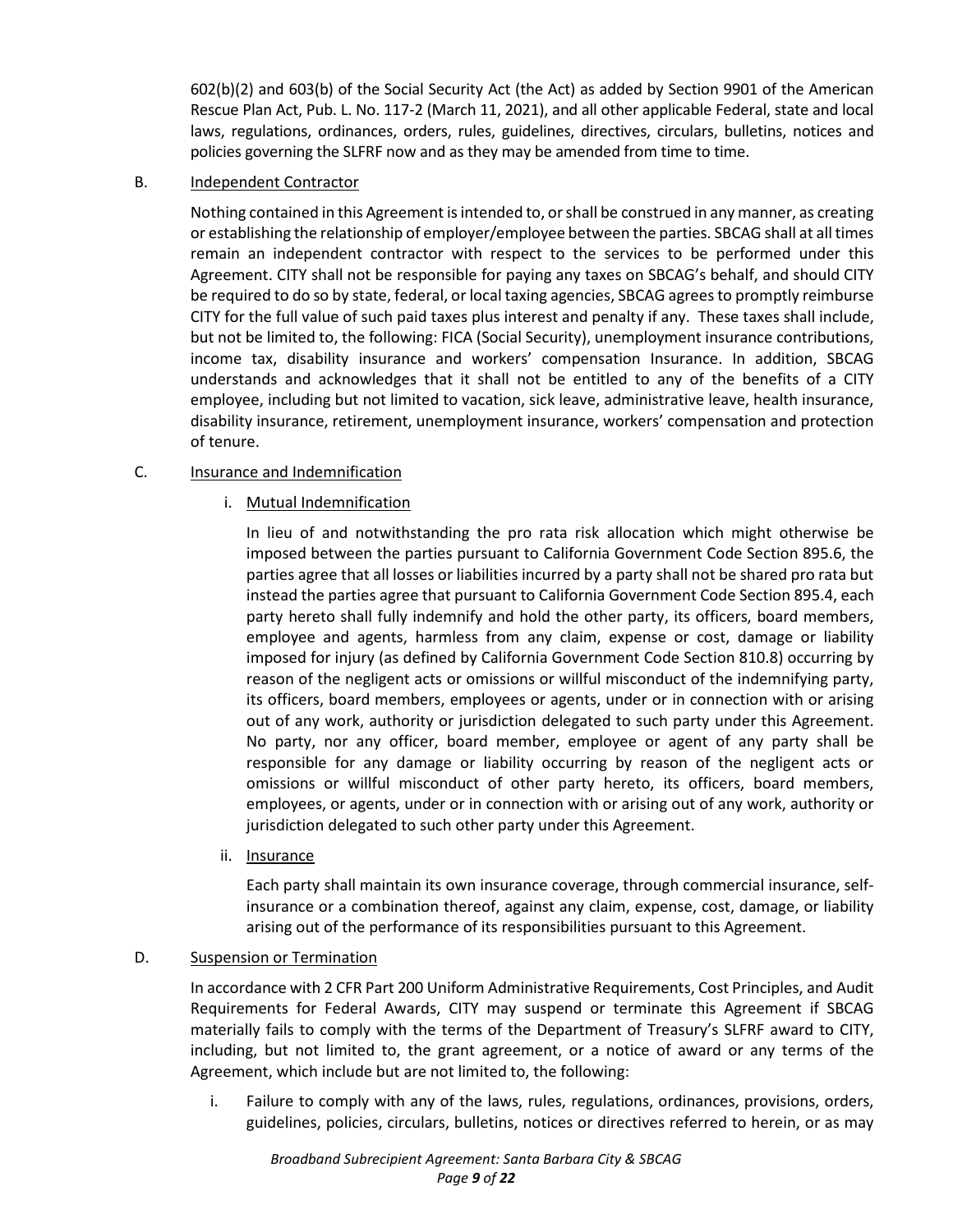602(b)(2) and 603(b) of the Social Security Act (the Act) as added by Section 9901 of the American Rescue Plan Act, Pub. L. No. 117-2 (March 11, 2021), and all other applicable Federal, state and local laws, regulations, ordinances, orders, rules, guidelines, directives, circulars, bulletins, notices and policies governing the SLFRF now and as they may be amended from time to time.

B. Independent Contractor

Nothing contained in this Agreement is intended to, or shall be construed in any manner, as creating or establishing the relationship of employer/employee between the parties. SBCAG shall at all times remain an independent contractor with respect to the services to be performed under this Agreement. CITY shall not be responsible for paying any taxes on SBCAG's behalf, and should CITY be required to do so by state, federal, or local taxing agencies, SBCAG agrees to promptly reimburse CITY for the full value of such paid taxes plus interest and penalty if any. These taxes shall include, but not be limited to, the following: FICA (Social Security), unemployment insurance contributions, income tax, disability insurance and workers' compensation Insurance. In addition, SBCAG understands and acknowledges that it shall not be entitled to any of the benefits of a CITY employee, including but not limited to vacation, sick leave, administrative leave, health insurance, disability insurance, retirement, unemployment insurance, workers' compensation and protection of tenure.

# C. Insurance and Indemnification

i. Mutual Indemnification

In lieu of and notwithstanding the pro rata risk allocation which might otherwise be imposed between the parties pursuant to California Government Code Section 895.6, the parties agree that all losses or liabilities incurred by a party shall not be shared pro rata but instead the parties agree that pursuant to California Government Code Section 895.4, each party hereto shall fully indemnify and hold the other party, its officers, board members, employee and agents, harmless from any claim, expense or cost, damage or liability imposed for injury (as defined by California Government Code Section 810.8) occurring by reason of the negligent acts or omissions or willful misconduct of the indemnifying party, its officers, board members, employees or agents, under or in connection with or arising out of any work, authority or jurisdiction delegated to such party under this Agreement. No party, nor any officer, board member, employee or agent of any party shall be responsible for any damage or liability occurring by reason of the negligent acts or omissions or willful misconduct of other party hereto, its officers, board members, employees, or agents, under or in connection with or arising out of any work, authority or jurisdiction delegated to such other party under this Agreement.

ii. Insurance

Each party shall maintain its own insurance coverage, through commercial insurance, selfinsurance or a combination thereof, against any claim, expense, cost, damage, or liability arising out of the performance of its responsibilities pursuant to this Agreement.

## D. Suspension or Termination

In accordance with 2 CFR Part 200 Uniform Administrative Requirements, Cost Principles, and Audit Requirements for Federal Awards, CITY may suspend or terminate this Agreement if SBCAG materially fails to comply with the terms of the Department of Treasury's SLFRF award to CITY, including, but not limited to, the grant agreement, or a notice of award or any terms of the Agreement, which include but are not limited to, the following:

i. Failure to comply with any of the laws, rules, regulations, ordinances, provisions, orders, guidelines, policies, circulars, bulletins, notices or directives referred to herein, or as may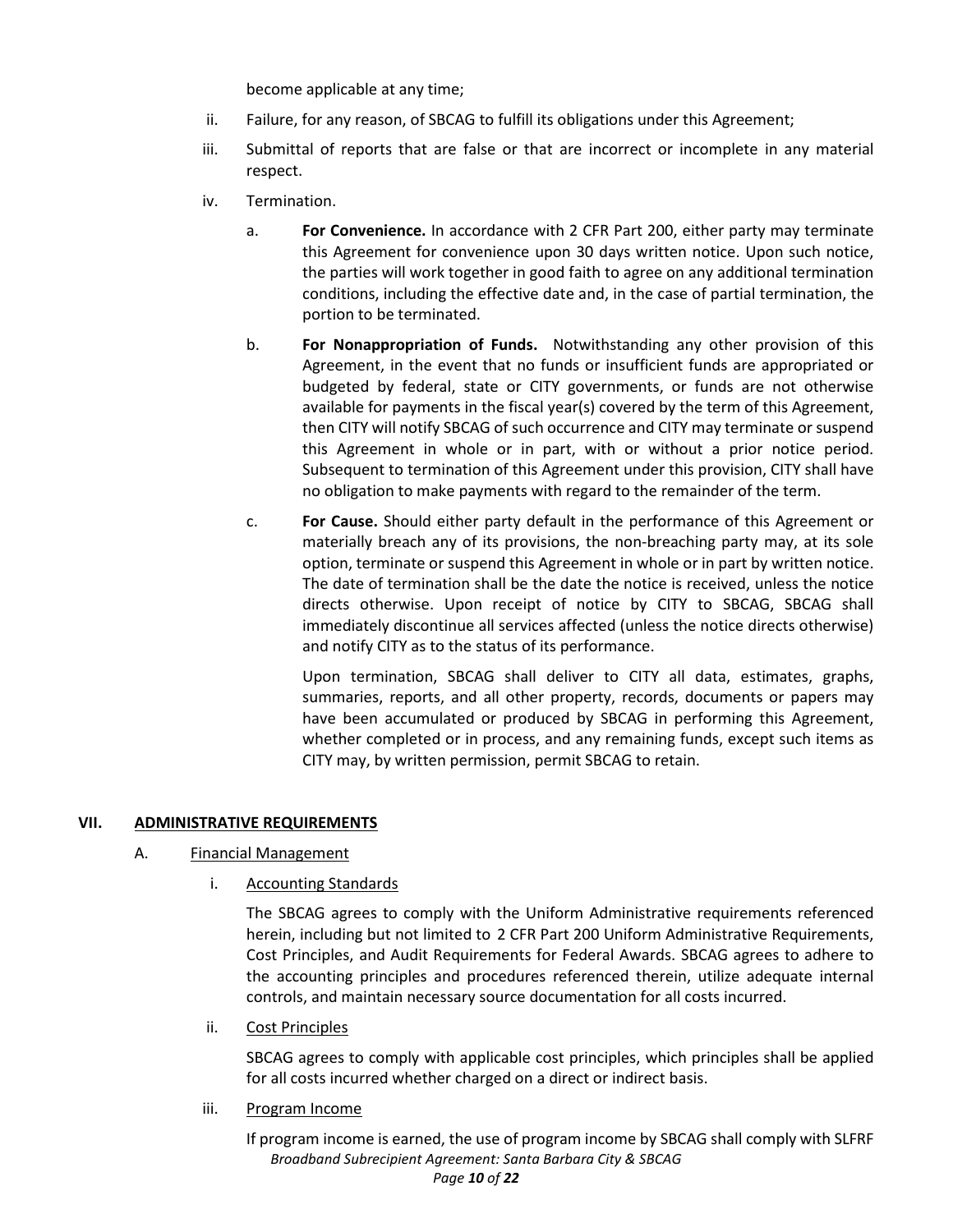become applicable at any time;

- ii. Failure, for any reason, of SBCAG to fulfill its obligations under this Agreement;
- iii. Submittal of reports that are false or that are incorrect or incomplete in any material respect.
- iv. Termination.
	- a. **For Convenience.** In accordance with 2 CFR Part 200, either party may terminate this Agreement for convenience upon 30 days written notice. Upon such notice, the parties will work together in good faith to agree on any additional termination conditions, including the effective date and, in the case of partial termination, the portion to be terminated.
	- b. **For Nonappropriation of Funds.** Notwithstanding any other provision of this Agreement, in the event that no funds or insufficient funds are appropriated or budgeted by federal, state or CITY governments, or funds are not otherwise available for payments in the fiscal year(s) covered by the term of this Agreement, then CITY will notify SBCAG of such occurrence and CITY may terminate or suspend this Agreement in whole or in part, with or without a prior notice period. Subsequent to termination of this Agreement under this provision, CITY shall have no obligation to make payments with regard to the remainder of the term.
	- c. **For Cause.** Should either party default in the performance of this Agreement or materially breach any of its provisions, the non-breaching party may, at its sole option, terminate or suspend this Agreement in whole or in part by written notice. The date of termination shall be the date the notice is received, unless the notice directs otherwise. Upon receipt of notice by CITY to SBCAG, SBCAG shall immediately discontinue all services affected (unless the notice directs otherwise) and notify CITY as to the status of its performance.

Upon termination, SBCAG shall deliver to CITY all data, estimates, graphs, summaries, reports, and all other property, records, documents or papers may have been accumulated or produced by SBCAG in performing this Agreement, whether completed or in process, and any remaining funds, except such items as CITY may, by written permission, permit SBCAG to retain.

## **VII. ADMINISTRATIVE REQUIREMENTS**

## A. Financial Management

i. Accounting Standards

The SBCAG agrees to comply with the Uniform Administrative requirements referenced herein, including but not limited to 2 CFR Part 200 Uniform Administrative Requirements, Cost Principles, and Audit Requirements for Federal Awards. SBCAG agrees to adhere to the accounting principles and procedures referenced therein, utilize adequate internal controls, and maintain necessary source documentation for all costs incurred.

ii. Cost Principles

SBCAG agrees to comply with applicable cost principles, which principles shall be applied for all costs incurred whether charged on a direct or indirect basis.

iii. Program Income

*Broadband Subrecipient Agreement: Santa Barbara City & SBCAG*  If program income is earned, the use of program income by SBCAG shall comply with SLFRF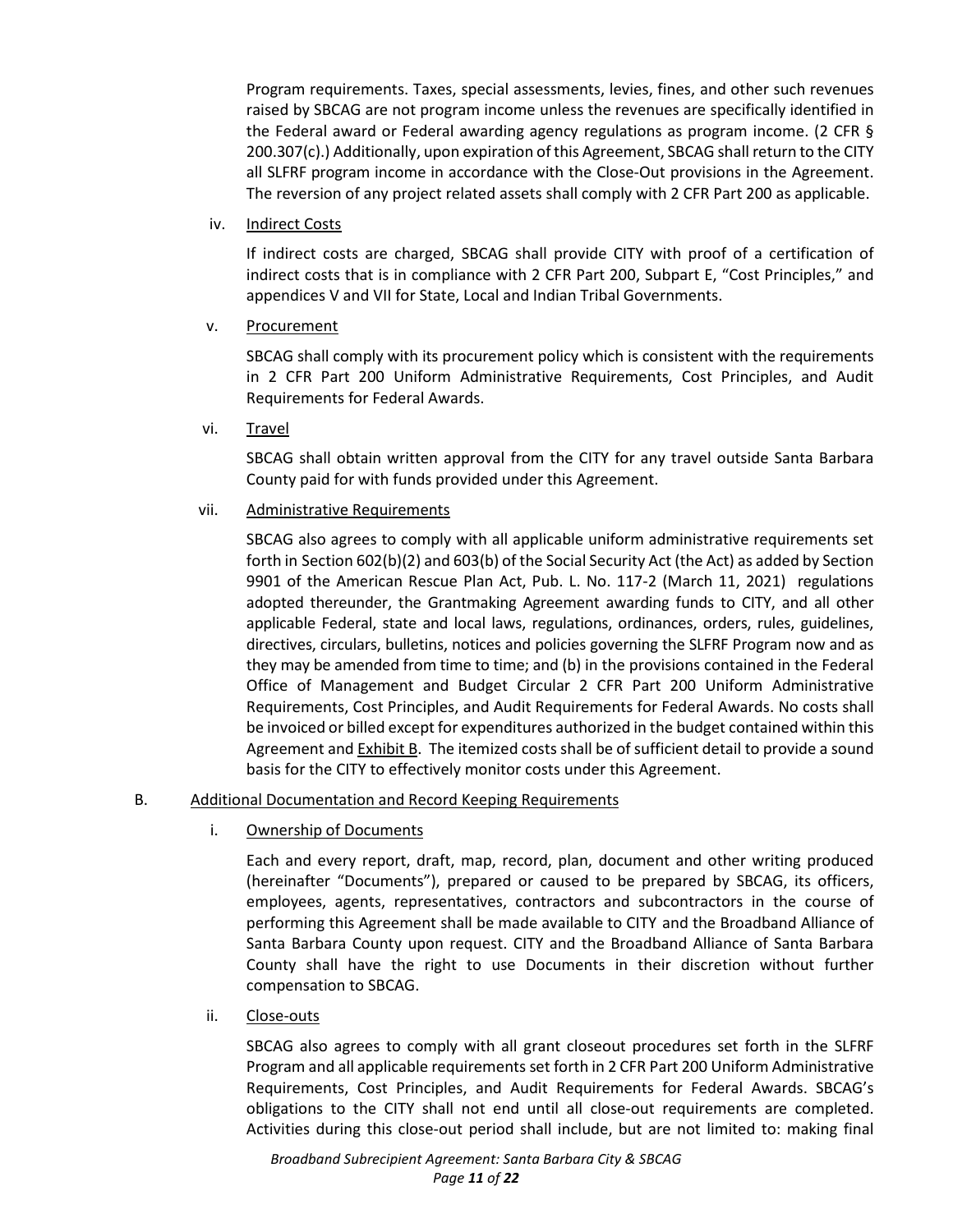Program requirements. Taxes, special assessments, levies, fines, and other such revenues raised by SBCAG are not program income unless the revenues are specifically identified in the Federal award or Federal awarding agency regulations as program income. (2 CFR § 200.307(c).) Additionally, upon expiration of this Agreement, SBCAG shall return to the CITY all SLFRF program income in accordance with the Close-Out provisions in the Agreement. The reversion of any project related assets shall comply with 2 CFR Part 200 as applicable.

iv. Indirect Costs

If indirect costs are charged, SBCAG shall provide CITY with proof of a certification of indirect costs that is in compliance with 2 CFR Part 200, Subpart E, "Cost Principles," and appendices V and VII for State, Local and Indian Tribal Governments.

v. Procurement

SBCAG shall comply with its procurement policy which is consistent with the requirements in 2 CFR Part 200 Uniform Administrative Requirements, Cost Principles, and Audit Requirements for Federal Awards.

vi. Travel

SBCAG shall obtain written approval from the CITY for any travel outside Santa Barbara County paid for with funds provided under this Agreement.

vii. Administrative Requirements

SBCAG also agrees to comply with all applicable uniform administrative requirements set forth in Section 602(b)(2) and 603(b) of the Social Security Act (the Act) as added by Section 9901 of the American Rescue Plan Act, Pub. L. No. 117-2 (March 11, 2021) regulations adopted thereunder, the Grantmaking Agreement awarding funds to CITY, and all other applicable Federal, state and local laws, regulations, ordinances, orders, rules, guidelines, directives, circulars, bulletins, notices and policies governing the SLFRF Program now and as they may be amended from time to time; and (b) in the provisions contained in the Federal Office of Management and Budget Circular 2 CFR Part 200 Uniform Administrative Requirements, Cost Principles, and Audit Requirements for Federal Awards. No costs shall be invoiced or billed except for expenditures authorized in the budget contained within this Agreement and Exhibit B. The itemized costs shall be of sufficient detail to provide a sound basis for the CITY to effectively monitor costs under this Agreement.

## B. Additional Documentation and Record Keeping Requirements

i. Ownership of Documents

Each and every report, draft, map, record, plan, document and other writing produced (hereinafter "Documents"), prepared or caused to be prepared by SBCAG, its officers, employees, agents, representatives, contractors and subcontractors in the course of performing this Agreement shall be made available to CITY and the Broadband Alliance of Santa Barbara County upon request. CITY and the Broadband Alliance of Santa Barbara County shall have the right to use Documents in their discretion without further compensation to SBCAG.

ii. Close-outs

SBCAG also agrees to comply with all grant closeout procedures set forth in the SLFRF Program and all applicable requirements set forth in 2 CFR Part 200 Uniform Administrative Requirements, Cost Principles, and Audit Requirements for Federal Awards. SBCAG's obligations to the CITY shall not end until all close-out requirements are completed. Activities during this close-out period shall include, but are not limited to: making final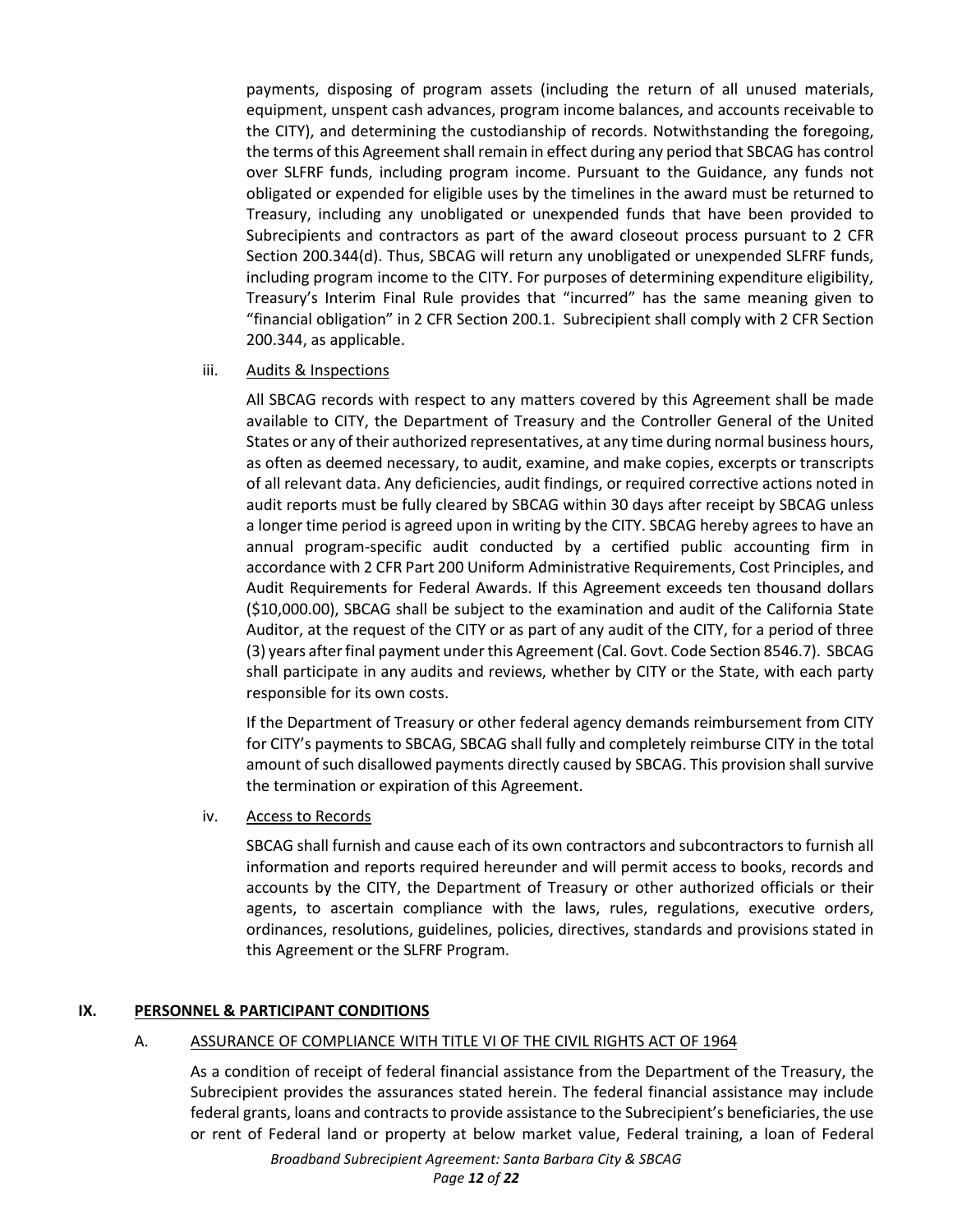payments, disposing of program assets (including the return of all unused materials, equipment, unspent cash advances, program income balances, and accounts receivable to the CITY), and determining the custodianship of records. Notwithstanding the foregoing, the terms of this Agreement shall remain in effect during any period that SBCAG has control over SLFRF funds, including program income. Pursuant to the Guidance, any funds not obligated or expended for eligible uses by the timelines in the award must be returned to Treasury, including any unobligated or unexpended funds that have been provided to Subrecipients and contractors as part of the award closeout process pursuant to 2 CFR Section 200.344(d). Thus, SBCAG will return any unobligated or unexpended SLFRF funds, including program income to the CITY. For purposes of determining expenditure eligibility, Treasury's Interim Final Rule provides that "incurred" has the same meaning given to "financial obligation" in 2 CFR Section 200.1. Subrecipient shall comply with 2 CFR Section 200.344, as applicable.

## iii. Audits & Inspections

All SBCAG records with respect to any matters covered by this Agreement shall be made available to CITY, the Department of Treasury and the Controller General of the United States or any of their authorized representatives, at any time during normal business hours, as often as deemed necessary, to audit, examine, and make copies, excerpts or transcripts of all relevant data. Any deficiencies, audit findings, or required corrective actions noted in audit reports must be fully cleared by SBCAG within 30 days after receipt by SBCAG unless a longer time period is agreed upon in writing by the CITY. SBCAG hereby agrees to have an annual program-specific audit conducted by a certified public accounting firm in accordance with 2 CFR Part 200 Uniform Administrative Requirements, Cost Principles, and Audit Requirements for Federal Awards. If this Agreement exceeds ten thousand dollars (\$10,000.00), SBCAG shall be subject to the examination and audit of the California State Auditor, at the request of the CITY or as part of any audit of the CITY, for a period of three (3) years after final payment under this Agreement (Cal. Govt. Code Section 8546.7). SBCAG shall participate in any audits and reviews, whether by CITY or the State, with each party responsible for its own costs.

If the Department of Treasury or other federal agency demands reimbursement from CITY for CITY's payments to SBCAG, SBCAG shall fully and completely reimburse CITY in the total amount of such disallowed payments directly caused by SBCAG. This provision shall survive the termination or expiration of this Agreement.

#### iv. Access to Records

SBCAG shall furnish and cause each of its own contractors and subcontractors to furnish all information and reports required hereunder and will permit access to books, records and accounts by the CITY, the Department of Treasury or other authorized officials or their agents, to ascertain compliance with the laws, rules, regulations, executive orders, ordinances, resolutions, guidelines, policies, directives, standards and provisions stated in this Agreement or the SLFRF Program.

## **IX. PERSONNEL & PARTICIPANT CONDITIONS**

#### A. ASSURANCE OF COMPLIANCE WITH TITLE VI OF THE CIVIL RIGHTS ACT OF 1964

As a condition of receipt of federal financial assistance from the Department of the Treasury, the Subrecipient provides the assurances stated herein. The federal financial assistance may include federal grants, loans and contracts to provide assistance to the Subrecipient's beneficiaries, the use or rent of Federal land or property at below market value, Federal training, a loan of Federal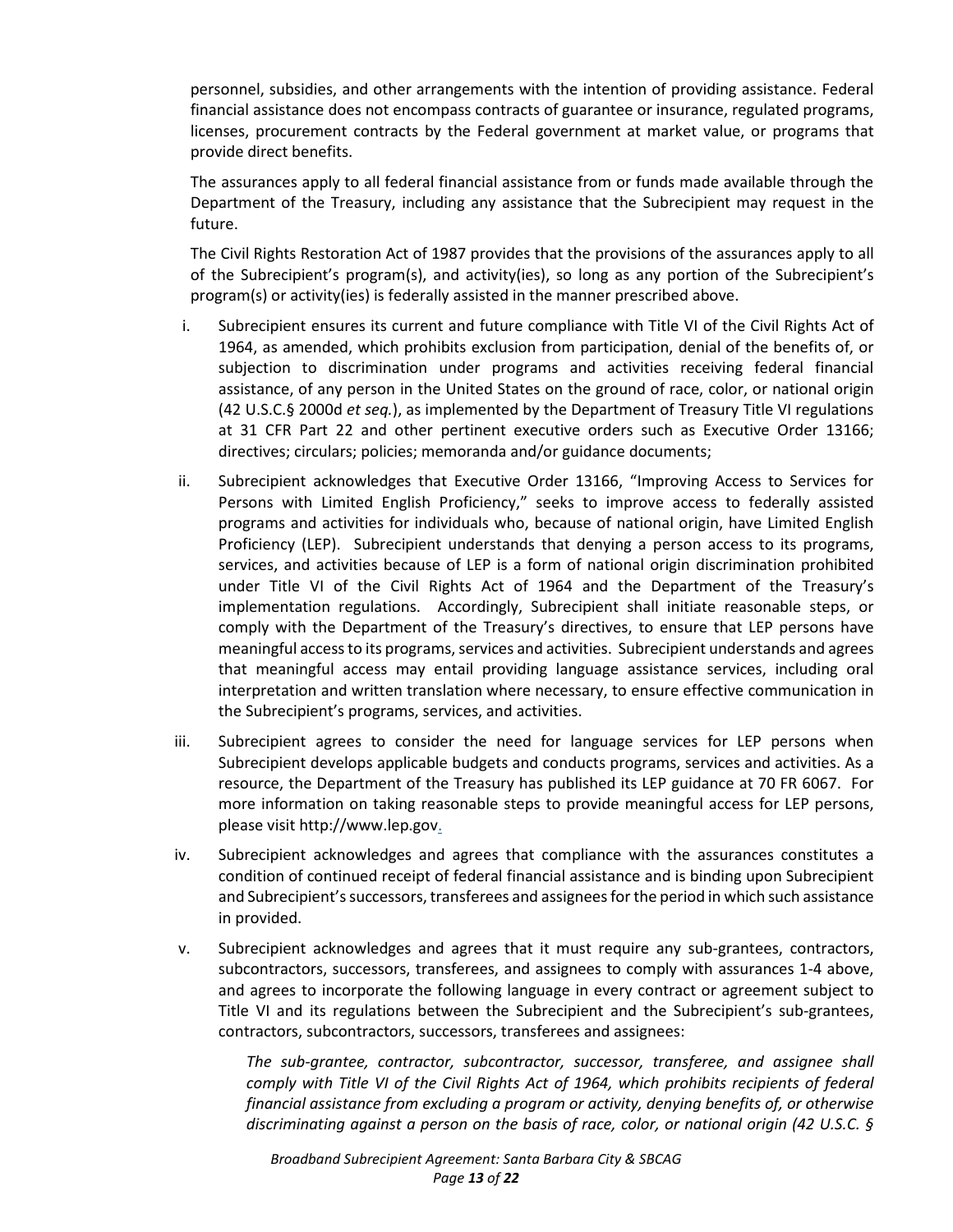personnel, subsidies, and other arrangements with the intention of providing assistance. Federal financial assistance does not encompass contracts of guarantee or insurance, regulated programs, licenses, procurement contracts by the Federal government at market value, or programs that provide direct benefits.

The assurances apply to all federal financial assistance from or funds made available through the Department of the Treasury, including any assistance that the Subrecipient may request in the future.

The Civil Rights Restoration Act of 1987 provides that the provisions of the assurances apply to all of the Subrecipient's program(s), and activity(ies), so long as any portion of the Subrecipient's program(s) or activity(ies) is federally assisted in the manner prescribed above.

- i. Subrecipient ensures its current and future compliance with Title VI of the Civil Rights Act of 1964, as amended, which prohibits exclusion from participation, denial of the benefits of, or subjection to discrimination under programs and activities receiving federal financial assistance, of any person in the United States on the ground of race, color, or national origin (42 U.S.C.§ 2000d *et seq.*), as implemented by the Department of Treasury Title VI regulations at 31 CFR Part 22 and other pertinent executive orders such as Executive Order 13166; directives; circulars; policies; memoranda and/or guidance documents;
- ii. Subrecipient acknowledges that Executive Order 13166, "Improving Access to Services for Persons with Limited English Proficiency," seeks to improve access to federally assisted programs and activities for individuals who, because of national origin, have Limited English Proficiency (LEP). Subrecipient understands that denying a person access to its programs, services, and activities because of LEP is a form of national origin discrimination prohibited under Title VI of the Civil Rights Act of 1964 and the Department of the Treasury's implementation regulations. Accordingly, Subrecipient shall initiate reasonable steps, or comply with the Department of the Treasury's directives, to ensure that LEP persons have meaningful access to its programs, services and activities. Subrecipient understands and agrees that meaningful access may entail providing language assistance services, including oral interpretation and written translation where necessary, to ensure effective communication in the Subrecipient's programs, services, and activities.
- iii. Subrecipient agrees to consider the need for language services for LEP persons when Subrecipient develops applicable budgets and conducts programs, services and activities. As a resource, the Department of the Treasury has published its LEP guidance at 70 FR 6067. For more information on taking reasonable steps to provide meaningful access for LEP persons, please visit http://www.lep.gov.
- iv. Subrecipient acknowledges and agrees that compliance with the assurances constitutes a condition of continued receipt of federal financial assistance and is binding upon Subrecipient and Subrecipient's successors, transferees and assignees for the period in which such assistance in provided.
- v. Subrecipient acknowledges and agrees that it must require any sub-grantees, contractors, subcontractors, successors, transferees, and assignees to comply with assurances 1-4 above, and agrees to incorporate the following language in every contract or agreement subject to Title VI and its regulations between the Subrecipient and the Subrecipient's sub-grantees, contractors, subcontractors, successors, transferees and assignees:

*The sub-grantee, contractor, subcontractor, successor, transferee, and assignee shall comply with Title VI of the Civil Rights Act of 1964, which prohibits recipients of federal financial assistance from excluding a program or activity, denying benefits of, or otherwise discriminating against a person on the basis of race, color, or national origin (42 U.S.C. §*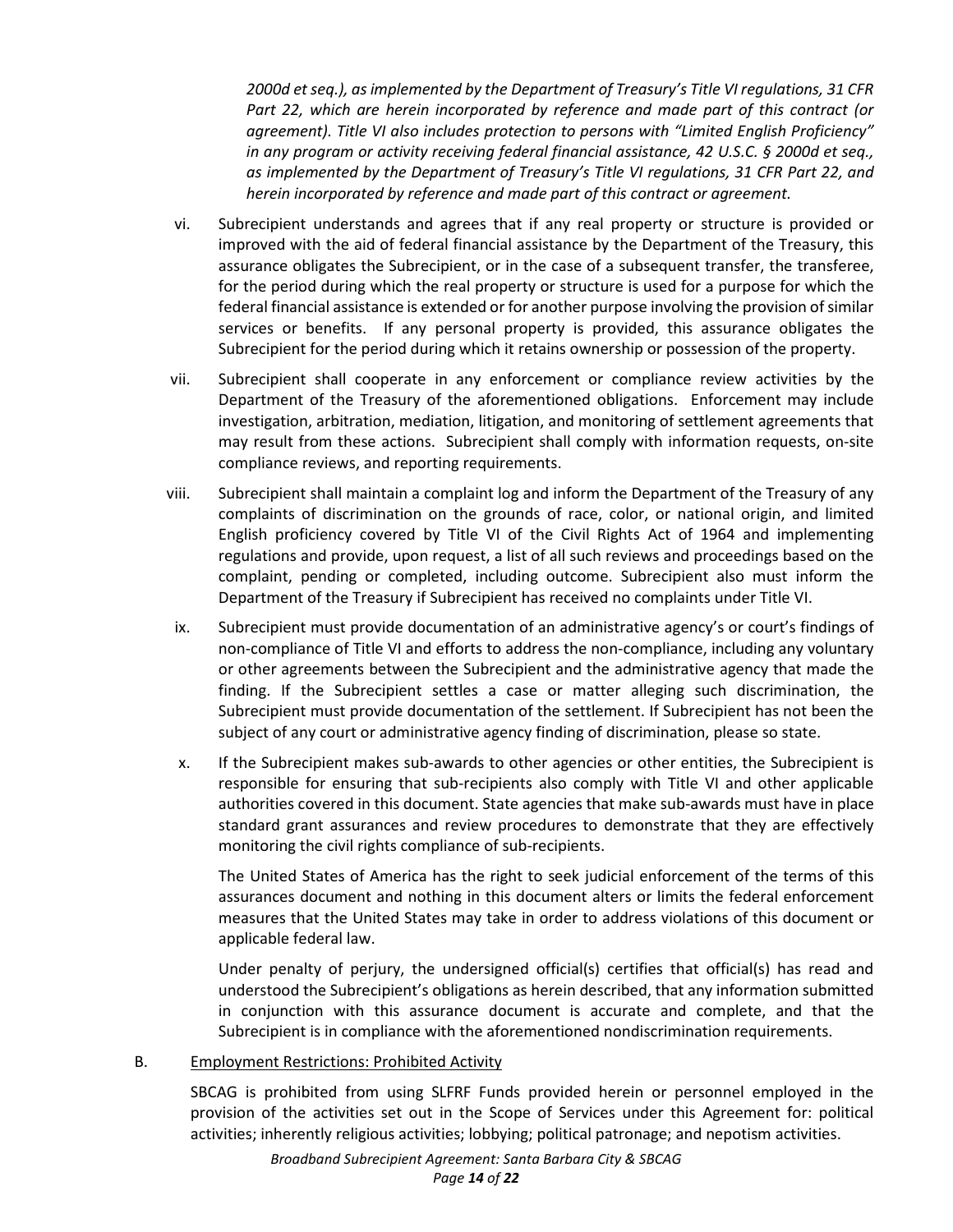*2000d et seq.), as implemented by the Department of Treasury's Title VI regulations, 31 CFR Part 22, which are herein incorporated by reference and made part of this contract (or agreement). Title VI also includes protection to persons with "Limited English Proficiency" in any program or activity receiving federal financial assistance, 42 U.S.C. § 2000d et seq., as implemented by the Department of Treasury's Title VI regulations, 31 CFR Part 22, and herein incorporated by reference and made part of this contract or agreement.* 

- vi. Subrecipient understands and agrees that if any real property or structure is provided or improved with the aid of federal financial assistance by the Department of the Treasury, this assurance obligates the Subrecipient, or in the case of a subsequent transfer, the transferee, for the period during which the real property or structure is used for a purpose for which the federal financial assistance is extended or for another purpose involving the provision of similar services or benefits. If any personal property is provided, this assurance obligates the Subrecipient for the period during which it retains ownership or possession of the property.
- vii. Subrecipient shall cooperate in any enforcement or compliance review activities by the Department of the Treasury of the aforementioned obligations. Enforcement may include investigation, arbitration, mediation, litigation, and monitoring of settlement agreements that may result from these actions. Subrecipient shall comply with information requests, on-site compliance reviews, and reporting requirements.
- viii. Subrecipient shall maintain a complaint log and inform the Department of the Treasury of any complaints of discrimination on the grounds of race, color, or national origin, and limited English proficiency covered by Title VI of the Civil Rights Act of 1964 and implementing regulations and provide, upon request, a list of all such reviews and proceedings based on the complaint, pending or completed, including outcome. Subrecipient also must inform the Department of the Treasury if Subrecipient has received no complaints under Title VI.
- ix. Subrecipient must provide documentation of an administrative agency's or court's findings of non-compliance of Title VI and efforts to address the non-compliance, including any voluntary or other agreements between the Subrecipient and the administrative agency that made the finding. If the Subrecipient settles a case or matter alleging such discrimination, the Subrecipient must provide documentation of the settlement. If Subrecipient has not been the subject of any court or administrative agency finding of discrimination, please so state.
- x. If the Subrecipient makes sub-awards to other agencies or other entities, the Subrecipient is responsible for ensuring that sub-recipients also comply with Title VI and other applicable authorities covered in this document. State agencies that make sub-awards must have in place standard grant assurances and review procedures to demonstrate that they are effectively monitoring the civil rights compliance of sub-recipients.

The United States of America has the right to seek judicial enforcement of the terms of this assurances document and nothing in this document alters or limits the federal enforcement measures that the United States may take in order to address violations of this document or applicable federal law.

Under penalty of perjury, the undersigned official(s) certifies that official(s) has read and understood the Subrecipient's obligations as herein described, that any information submitted in conjunction with this assurance document is accurate and complete, and that the Subrecipient is in compliance with the aforementioned nondiscrimination requirements.

## B. Employment Restrictions: Prohibited Activity

SBCAG is prohibited from using SLFRF Funds provided herein or personnel employed in the provision of the activities set out in the Scope of Services under this Agreement for: political activities; inherently religious activities; lobbying; political patronage; and nepotism activities.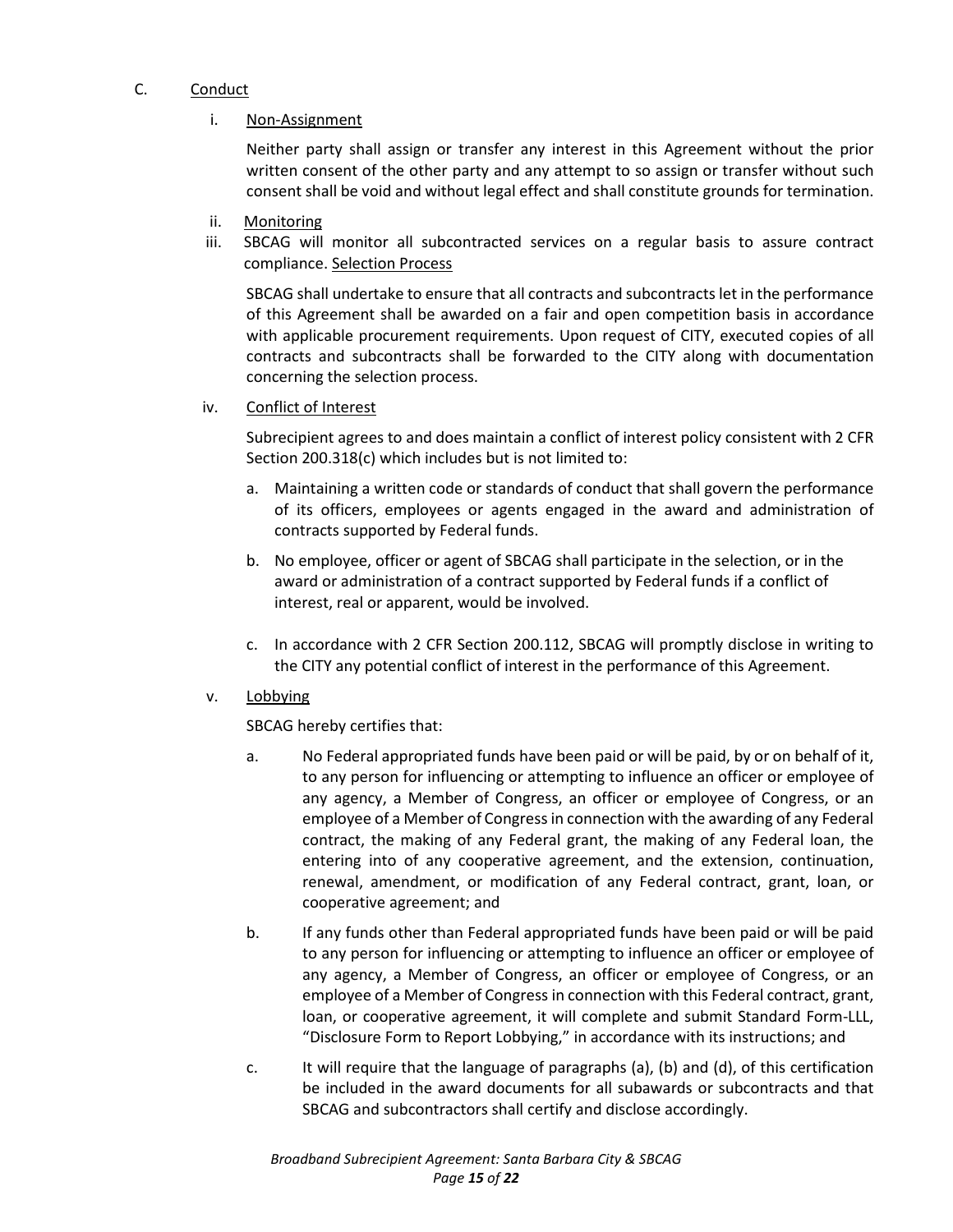# C. Conduct

# i. Non-Assignment

Neither party shall assign or transfer any interest in this Agreement without the prior written consent of the other party and any attempt to so assign or transfer without such consent shall be void and without legal effect and shall constitute grounds for termination.

- ii. Monitoring
- iii. SBCAG will monitor all subcontracted services on a regular basis to assure contract compliance. Selection Process

SBCAG shall undertake to ensure that all contracts and subcontracts let in the performance of this Agreement shall be awarded on a fair and open competition basis in accordance with applicable procurement requirements. Upon request of CITY, executed copies of all contracts and subcontracts shall be forwarded to the CITY along with documentation concerning the selection process.

iv. Conflict of Interest

Subrecipient agrees to and does maintain a conflict of interest policy consistent with 2 CFR Section 200.318(c) which includes but is not limited to:

- a. Maintaining a written code or standards of conduct that shall govern the performance of its officers, employees or agents engaged in the award and administration of contracts supported by Federal funds.
- b. No employee, officer or agent of SBCAG shall participate in the selection, or in the award or administration of a contract supported by Federal funds if a conflict of interest, real or apparent, would be involved.
- c. In accordance with 2 CFR Section 200.112, SBCAG will promptly disclose in writing to the CITY any potential conflict of interest in the performance of this Agreement.
- v. Lobbying

SBCAG hereby certifies that:

- a. No Federal appropriated funds have been paid or will be paid, by or on behalf of it, to any person for influencing or attempting to influence an officer or employee of any agency, a Member of Congress, an officer or employee of Congress, or an employee of a Member of Congress in connection with the awarding of any Federal contract, the making of any Federal grant, the making of any Federal loan, the entering into of any cooperative agreement, and the extension, continuation, renewal, amendment, or modification of any Federal contract, grant, loan, or cooperative agreement; and
- b. If any funds other than Federal appropriated funds have been paid or will be paid to any person for influencing or attempting to influence an officer or employee of any agency, a Member of Congress, an officer or employee of Congress, or an employee of a Member of Congress in connection with this Federal contract, grant, loan, or cooperative agreement, it will complete and submit Standard Form-LLL, "Disclosure Form to Report Lobbying," in accordance with its instructions; and
- c. It will require that the language of paragraphs (a), (b) and (d), of this certification be included in the award documents for all subawards or subcontracts and that SBCAG and subcontractors shall certify and disclose accordingly.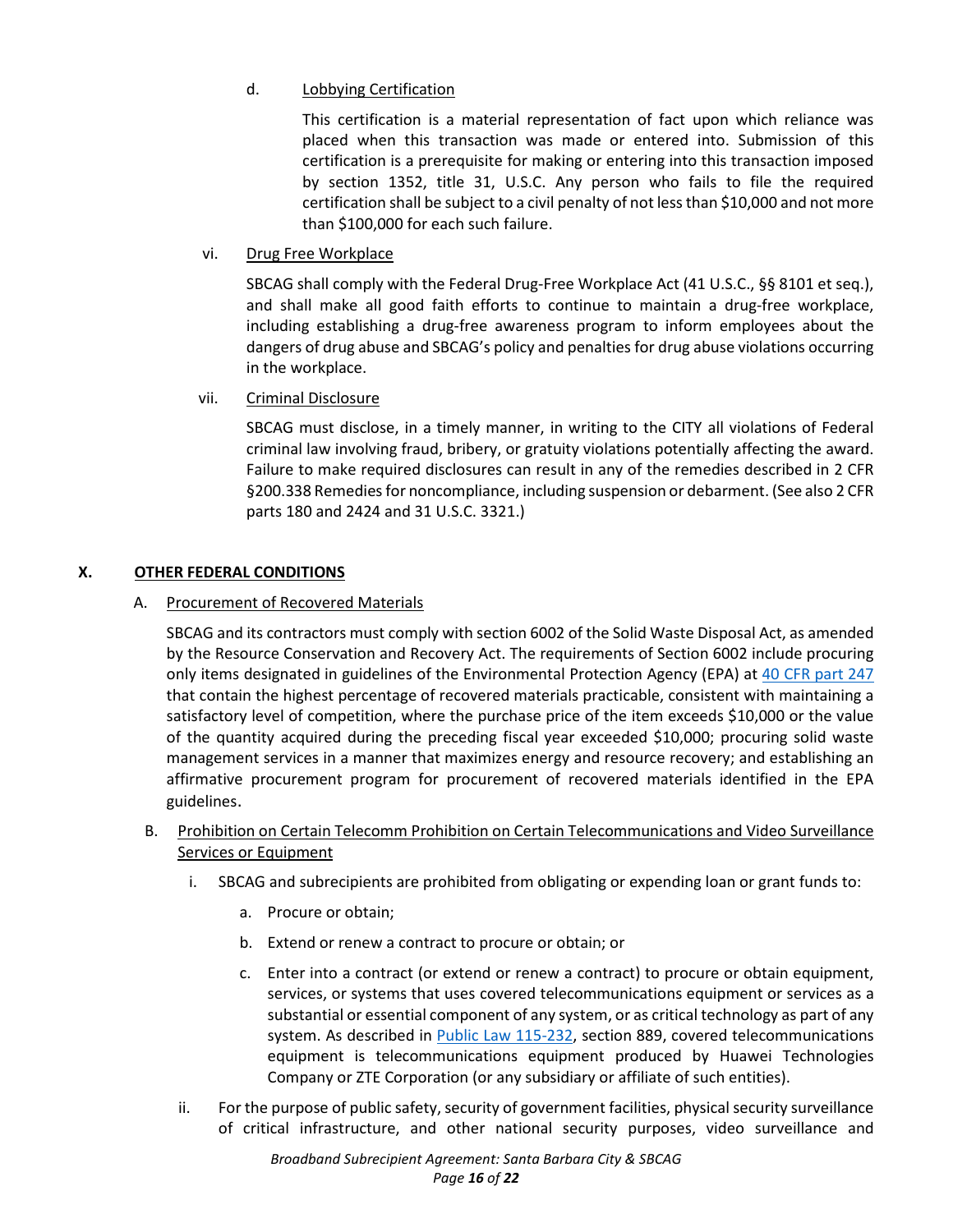# d. Lobbying Certification

This certification is a material representation of fact upon which reliance was placed when this transaction was made or entered into. Submission of this certification is a prerequisite for making or entering into this transaction imposed by section 1352, title 31, U.S.C. Any person who fails to file the required certification shall be subject to a civil penalty of not less than \$10,000 and not more than \$100,000 for each such failure.

vi. Drug Free Workplace

SBCAG shall comply with the Federal Drug-Free Workplace Act (41 U.S.C., §§ 8101 et seq.), and shall make all good faith efforts to continue to maintain a drug-free workplace, including establishing a drug-free awareness program to inform employees about the dangers of drug abuse and SBCAG's policy and penalties for drug abuse violations occurring in the workplace.

vii. Criminal Disclosure

SBCAG must disclose, in a timely manner, in writing to the CITY all violations of Federal criminal law involving fraud, bribery, or gratuity violations potentially affecting the award. Failure to make required disclosures can result in any of the remedies described in 2 CFR §200.338 Remedies for noncompliance, including suspension or debarment. (See also 2 CFR parts 180 and 2424 and 31 U.S.C. 3321.)

# **X. OTHER FEDERAL CONDITIONS**

## A. Procurement of Recovered Materials

SBCAG and its contractors must comply with section 6002 of the Solid Waste Disposal Act, as amended by the Resource Conservation and Recovery Act. The requirements of Section 6002 include procuring only items designated in guidelines of the Environmental Protection Agency (EPA) at [40 CFR part 247](https://www.ecfr.gov/current/title-40/part-247) that contain the highest percentage of recovered materials practicable, consistent with maintaining a satisfactory level of competition, where the purchase price of the item exceeds \$10,000 or the value of the quantity acquired during the preceding fiscal year exceeded \$10,000; procuring solid waste management services in a manner that maximizes energy and resource recovery; and establishing an affirmative procurement program for procurement of recovered materials identified in the EPA guidelines.

- B. Prohibition on Certain Telecomm Prohibition on Certain Telecommunications and Video Surveillance Services or Equipment
	- i. SBCAG and subrecipients are prohibited from obligating or expending loan or grant funds to:
		- a. Procure or obtain;
		- b. Extend or renew a contract to procure or obtain; or
		- c. Enter into a contract (or extend or renew a contract) to procure or obtain equipment, services, or systems that uses covered telecommunications equipment or services as a substantial or essential component of any system, or as critical technology as part of any system. As described in [Public Law 115-232,](https://www.govinfo.gov/link/plaw/115/public/232) section 889, covered telecommunications equipment is telecommunications equipment produced by Huawei Technologies Company or ZTE Corporation (or any subsidiary or affiliate of such entities).
	- ii. For the purpose of public safety, security of government facilities, physical security surveillance of critical infrastructure, and other national security purposes, video surveillance and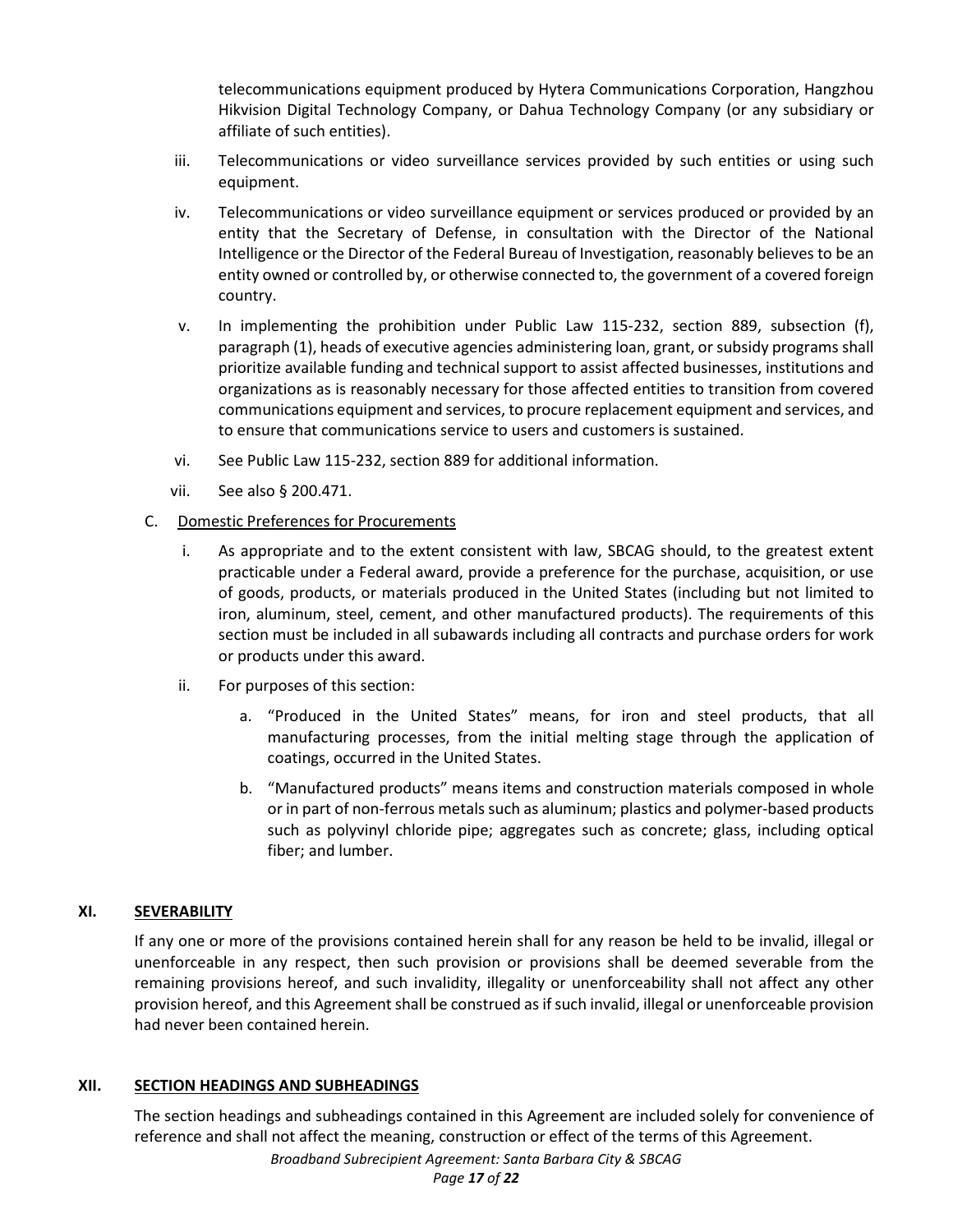telecommunications equipment produced by Hytera Communications Corporation, Hangzhou Hikvision Digital Technology Company, or Dahua Technology Company (or any subsidiary or affiliate of such entities).

- iii. Telecommunications or video surveillance services provided by such entities or using such equipment.
- iv. Telecommunications or video surveillance equipment or services produced or provided by an entity that the Secretary of Defense, in consultation with the Director of the National Intelligence or the Director of the Federal Bureau of Investigation, reasonably believes to be an entity owned or controlled by, or otherwise connected to, the government of a covered foreign country.
- v. In implementing the prohibition under Public Law 115-232, section 889, subsection (f), paragraph (1), heads of executive agencies administering loan, grant, or subsidy programs shall prioritize available funding and technical support to assist affected businesses, institutions and organizations as is reasonably necessary for those affected entities to transition from covered communications equipment and services, to procure replacement equipment and services, and to ensure that communications service to users and customers is sustained.
- vi. See Public Law 115-232, section 889 for additional information.
- vii. See also § 200.471.
- C. Domestic Preferences for Procurements
	- i. As appropriate and to the extent consistent with law, SBCAG should, to the greatest extent practicable under a Federal award, provide a preference for the purchase, acquisition, or use of goods, products, or materials produced in the United States (including but not limited to iron, aluminum, steel, cement, and other manufactured products). The requirements of this section must be included in all subawards including all contracts and purchase orders for work or products under this award.
	- ii. For purposes of this section:
		- a. "Produced in the United States" means, for iron and steel products, that all manufacturing processes, from the initial melting stage through the application of coatings, occurred in the United States.
		- b. "Manufactured products" means items and construction materials composed in whole or in part of non-ferrous metals such as aluminum; plastics and polymer-based products such as polyvinyl chloride pipe; aggregates such as concrete; glass, including optical fiber; and lumber.

# **XI. SEVERABILITY**

If any one or more of the provisions contained herein shall for any reason be held to be invalid, illegal or unenforceable in any respect, then such provision or provisions shall be deemed severable from the remaining provisions hereof, and such invalidity, illegality or unenforceability shall not affect any other provision hereof, and this Agreement shall be construed as if such invalid, illegal or unenforceable provision had never been contained herein.

## **XII. SECTION HEADINGS AND SUBHEADINGS**

The section headings and subheadings contained in this Agreement are included solely for convenience of reference and shall not affect the meaning, construction or effect of the terms of this Agreement.

*Broadband Subrecipient Agreement: Santa Barbara City & SBCAG*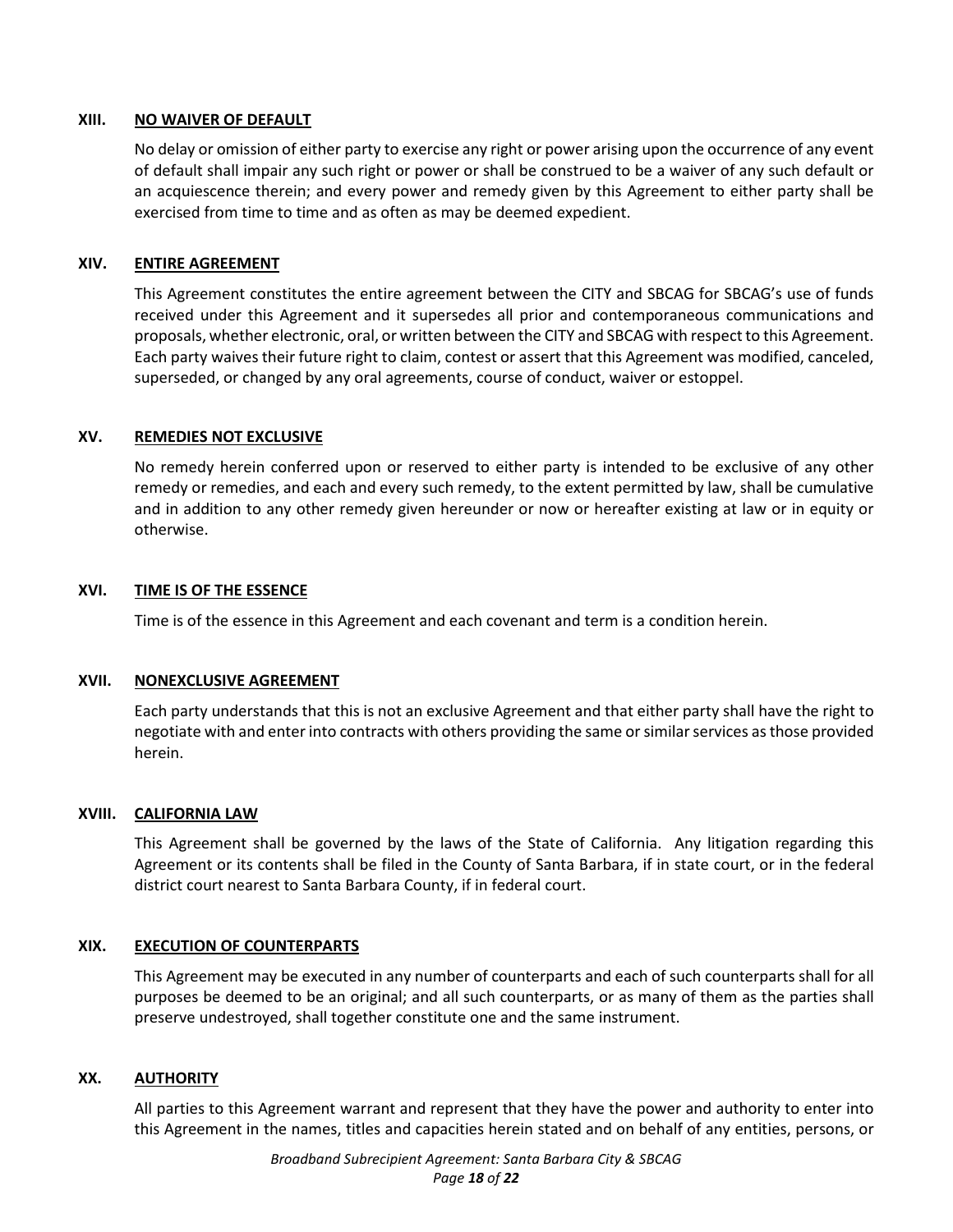#### **XIII. NO WAIVER OF DEFAULT**

No delay or omission of either party to exercise any right or power arising upon the occurrence of any event of default shall impair any such right or power or shall be construed to be a waiver of any such default or an acquiescence therein; and every power and remedy given by this Agreement to either party shall be exercised from time to time and as often as may be deemed expedient.

#### **XIV. ENTIRE AGREEMENT**

This Agreement constitutes the entire agreement between the CITY and SBCAG for SBCAG's use of funds received under this Agreement and it supersedes all prior and contemporaneous communications and proposals, whether electronic, oral, or written between the CITY and SBCAG with respect to this Agreement. Each party waives their future right to claim, contest or assert that this Agreement was modified, canceled, superseded, or changed by any oral agreements, course of conduct, waiver or estoppel.

#### **XV. REMEDIES NOT EXCLUSIVE**

No remedy herein conferred upon or reserved to either party is intended to be exclusive of any other remedy or remedies, and each and every such remedy, to the extent permitted by law, shall be cumulative and in addition to any other remedy given hereunder or now or hereafter existing at law or in equity or otherwise.

#### **XVI. TIME IS OF THE ESSENCE**

Time is of the essence in this Agreement and each covenant and term is a condition herein.

## **XVII. NONEXCLUSIVE AGREEMENT**

Each party understands that this is not an exclusive Agreement and that either party shall have the right to negotiate with and enter into contracts with others providing the same or similar services as those provided herein.

#### **XVIII. CALIFORNIA LAW**

This Agreement shall be governed by the laws of the State of California. Any litigation regarding this Agreement or its contents shall be filed in the County of Santa Barbara, if in state court, or in the federal district court nearest to Santa Barbara County, if in federal court.

## **XIX. EXECUTION OF COUNTERPARTS**

This Agreement may be executed in any number of counterparts and each of such counterparts shall for all purposes be deemed to be an original; and all such counterparts, or as many of them as the parties shall preserve undestroyed, shall together constitute one and the same instrument.

#### **XX. AUTHORITY**

All parties to this Agreement warrant and represent that they have the power and authority to enter into this Agreement in the names, titles and capacities herein stated and on behalf of any entities, persons, or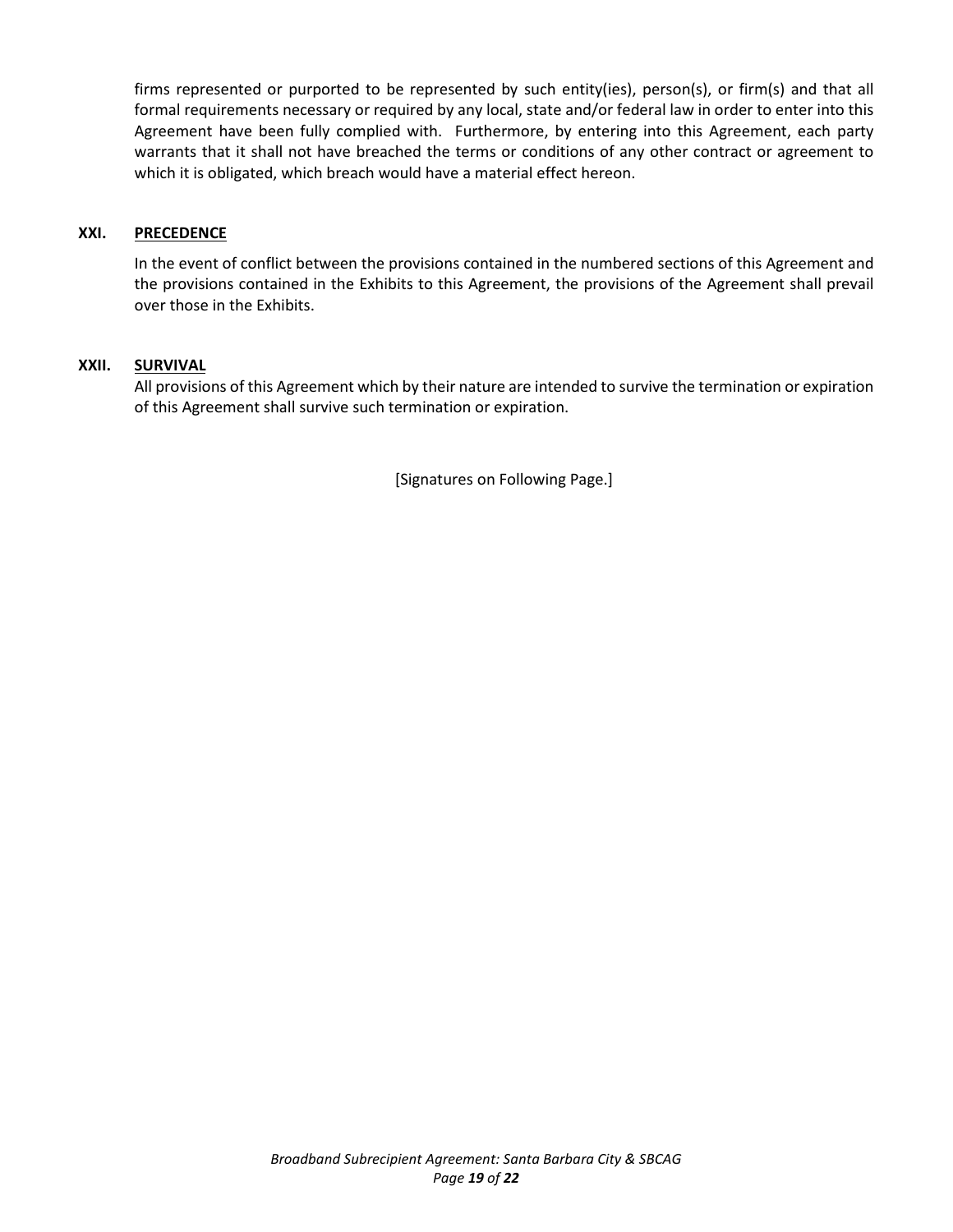firms represented or purported to be represented by such entity(ies), person(s), or firm(s) and that all formal requirements necessary or required by any local, state and/or federal law in order to enter into this Agreement have been fully complied with. Furthermore, by entering into this Agreement, each party warrants that it shall not have breached the terms or conditions of any other contract or agreement to which it is obligated, which breach would have a material effect hereon.

#### **XXI. PRECEDENCE**

In the event of conflict between the provisions contained in the numbered sections of this Agreement and the provisions contained in the Exhibits to this Agreement, the provisions of the Agreement shall prevail over those in the Exhibits.

#### **XXII. SURVIVAL**

All provisions of this Agreement which by their nature are intended to survive the termination or expiration of this Agreement shall survive such termination or expiration.

[Signatures on Following Page.]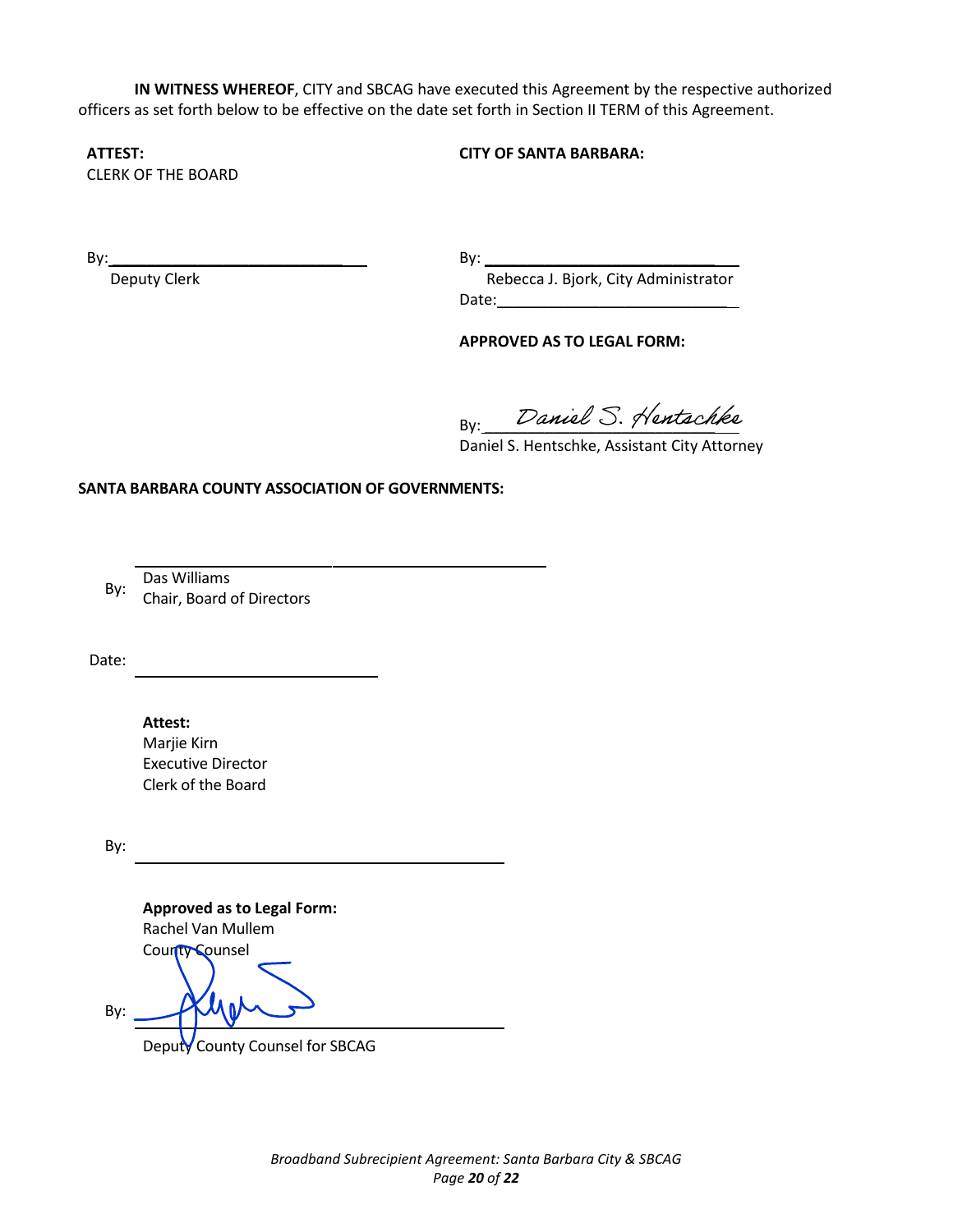**IN WITNESS WHEREOF**, CITY and SBCAG have executed this Agreement by the respective authorized officers as set forth below to be effective on the date set forth in Section II TERM of this Agreement.

## **ATTEST:**

CLERK OF THE BOARD

 $\mathsf{By:}$ 

Deputy Clerk

 $\mathsf{By:}$  Rebecca J. Bjork, City Administrator Date:\_\_\_\_\_\_\_\_\_\_\_\_\_\_\_\_\_\_\_\_\_\_\_\_\_\_\_

**CITY OF SANTA BARBARA:**

## **APPROVED AS TO LEGAL FORM:**

 $By: 2$ ance  $\cup. 9$ rensich

Daniel S. Hentschke, Assistant City Attorney

**SANTA BARBARA COUNTY ASSOCIATION OF GOVERNMENTS:**

By: Das Williams

Chair, Board of Directors

Date:

**Attest:** Marjie Kirn Executive Director Clerk of the Board

By:

**Approved as to Legal Form:** Rachel Van Mullem County Counsel By:

Deputy County Counsel for SBCAG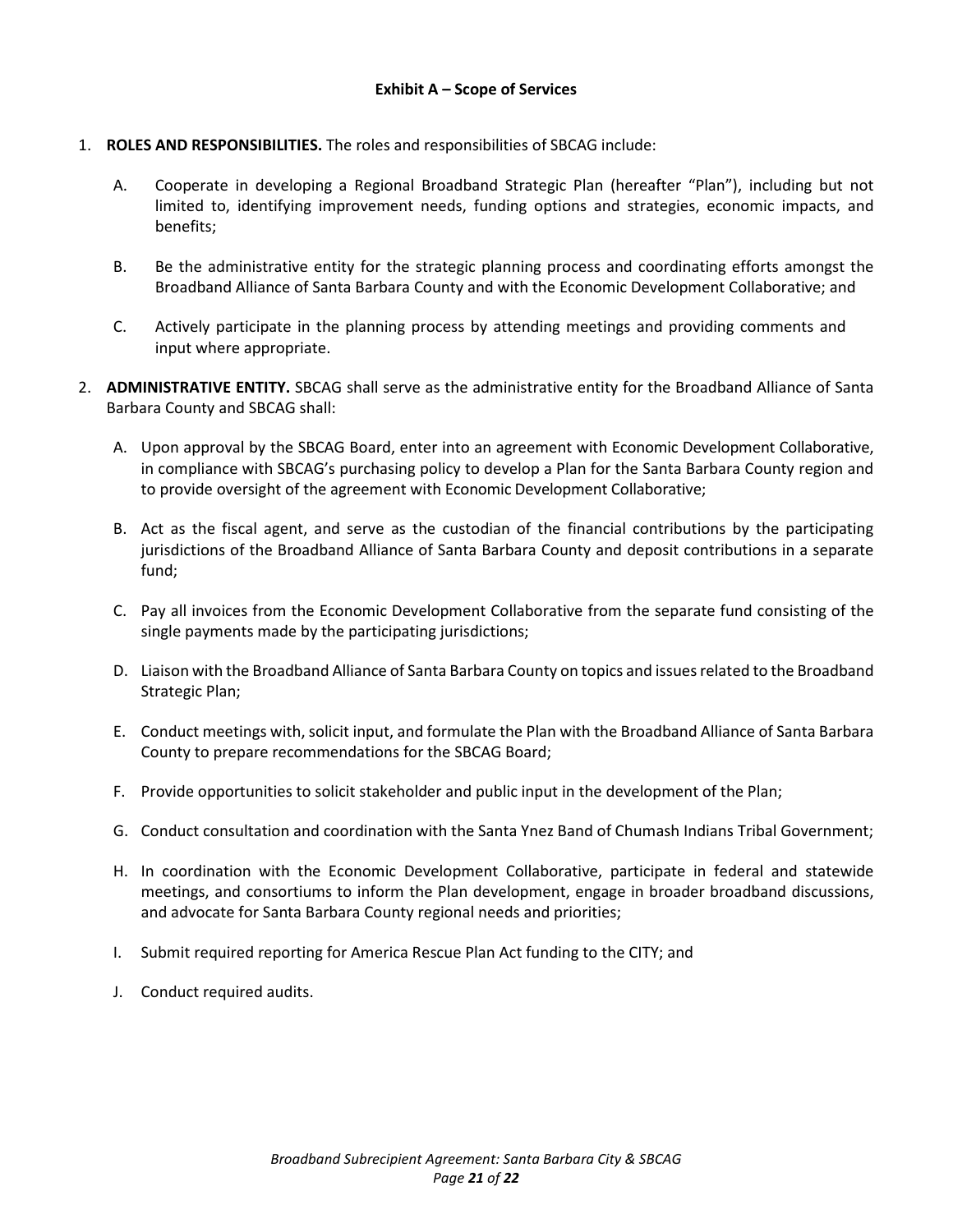## 1. **ROLES AND RESPONSIBILITIES.** The roles and responsibilities of SBCAG include:

- A. Cooperate in developing a Regional Broadband Strategic Plan (hereafter "Plan"), including but not limited to, identifying improvement needs, funding options and strategies, economic impacts, and benefits;
- B. Be the administrative entity for the strategic planning process and coordinating efforts amongst the Broadband Alliance of Santa Barbara County and with the Economic Development Collaborative; and
- C. Actively participate in the planning process by attending meetings and providing comments and input where appropriate.
- 2. **ADMINISTRATIVE ENTITY.** SBCAG shall serve as the administrative entity for the Broadband Alliance of Santa Barbara County and SBCAG shall:
	- A. Upon approval by the SBCAG Board, enter into an agreement with Economic Development Collaborative, in compliance with SBCAG's purchasing policy to develop a Plan for the Santa Barbara County region and to provide oversight of the agreement with Economic Development Collaborative;
	- B. Act as the fiscal agent, and serve as the custodian of the financial contributions by the participating jurisdictions of the Broadband Alliance of Santa Barbara County and deposit contributions in a separate fund;
	- C. Pay all invoices from the Economic Development Collaborative from the separate fund consisting of the single payments made by the participating jurisdictions;
	- D. Liaison with the Broadband Alliance of Santa Barbara County on topics and issues related to the Broadband Strategic Plan;
	- E. Conduct meetings with, solicit input, and formulate the Plan with the Broadband Alliance of Santa Barbara County to prepare recommendations for the SBCAG Board;
	- F. Provide opportunities to solicit stakeholder and public input in the development of the Plan;
	- G. Conduct consultation and coordination with the Santa Ynez Band of Chumash Indians Tribal Government;
	- H. In coordination with the Economic Development Collaborative, participate in federal and statewide meetings, and consortiums to inform the Plan development, engage in broader broadband discussions, and advocate for Santa Barbara County regional needs and priorities;
	- I. Submit required reporting for America Rescue Plan Act funding to the CITY; and
	- J. Conduct required audits.